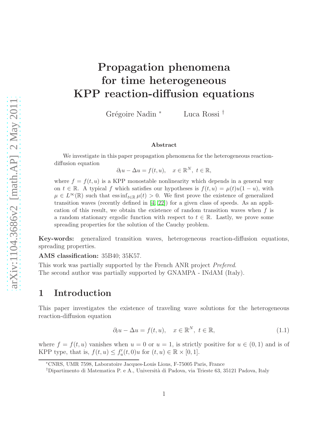# Propagation phenomena for time heterogeneous KPP reaction-diffusion equations

Grégoire Nadin <sup>∗</sup> Luca Rossi <sup>†</sup>

#### Abstract

We investigate in this paper propagation phenomena for the heterogeneous reactiondiffusion equation

 $\partial_t u - \Delta u = f(t, u), \quad x \in \mathbb{R}^N, t \in \mathbb{R},$ 

where  $f = f(t, u)$  is a KPP monostable nonlinearity which depends in a general way on  $t \in \mathbb{R}$ . A typical f which satisfies our hypotheses is  $f(t, u) = \mu(t)u(1 - u)$ , with  $\mu \in L^{\infty}(\mathbb{R})$  such that ess inf<sub>t∈R</sub>  $\mu(t) > 0$ . We first prove the existence of generalized transition waves (recently defined in [\[4,](#page-24-0) [22\]](#page-25-0)) for a given class of speeds. As an application of this result, we obtain the existence of random transition waves when f is a random stationary ergodic function with respect to  $t \in \mathbb{R}$ . Lastly, we prove some spreading properties for the solution of the Cauchy problem.

Key-words: generalized transition waves, heterogeneous reaction-diffusion equations, spreading properties.

AMS classification: 35B40; 35K57.

This work was partially supported by the French ANR project *Prefered*. The second author was partially supported by GNAMPA - INdAM (Italy).

# 1 Introduction

This paper investigates the existence of traveling wave solutions for the heterogeneous reaction-diffusion equation

<span id="page-0-0"></span>
$$
\partial_t u - \Delta u = f(t, u), \quad x \in \mathbb{R}^N, \ t \in \mathbb{R}, \tag{1.1}
$$

where  $f = f(t, u)$  vanishes when  $u = 0$  or  $u = 1$ , is strictly positive for  $u \in (0, 1)$  and is of KPP type, that is,  $f(t, u) \leq f'_u(t, 0)u$  for  $(t, u) \in \mathbb{R} \times [0, 1]$ .

<sup>∗</sup>CNRS, UMR 7598, Laboratoire Jacques-Louis Lions, F-75005 Paris, France

<sup>†</sup>Dipartimento di Matematica P. e A., Universit`a di Padova, via Trieste 63, 35121 Padova, Italy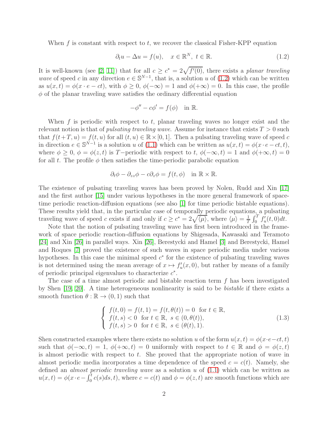When f is constant with respect to  $t$ , we recover the classical Fisher-KPP equation

<span id="page-1-0"></span>
$$
\partial_t u - \Delta u = f(u), \quad x \in \mathbb{R}^N, \ t \in \mathbb{R}.
$$
 (1.2)

It is well-known (see [\[2,](#page-24-1) [11\]](#page-24-2)) that for all  $c \geq c^* = 2\sqrt{f'(0)}$ , there exists a planar traveling wave of speed c in any direction  $e \in \mathbb{S}^{N-1}$ , that is, a solution u of [\(1.2\)](#page-1-0) which can be written as  $u(x,t) = \phi(x \cdot e - ct)$ , with  $\phi \ge 0$ ,  $\phi(-\infty) = 1$  and  $\phi(+\infty) = 0$ . In this case, the profile  $\phi$  of the planar traveling wave satisfies the ordinary differential equation

$$
-\phi'' - c\phi' = f(\phi) \quad \text{in } \mathbb{R}.
$$

When f is periodic with respect to  $t$ , planar traveling waves no longer exist and the relevant notion is that of *pulsating traveling wave*. Assume for instance that exists  $T > 0$  such that  $f(t+T, u) = f(t, u)$  for all  $(t, u) \in \mathbb{R} \times [0, 1]$ . Then a pulsating traveling wave of speed c in direction  $e \in \mathbb{S}^{N-1}$  is a solution u of [\(1.1\)](#page-0-0) which can be written as  $u(x,t) = \phi(x \cdot e - ct, t)$ , where  $\phi \geq 0$ ,  $\phi = \phi(z, t)$  is T-periodic with respect to t,  $\phi(-\infty, t) = 1$  and  $\phi(+\infty, t) = 0$ for all t. The profile  $\phi$  then satisfies the time-periodic parabolic equation

$$
\partial_t \phi - \partial_{zz} \phi - c \partial_z \phi = f(t, \phi) \quad \text{in } \mathbb{R} \times \mathbb{R}.
$$

The existence of pulsating traveling waves has been proved by Nolen, Rudd and Xin [\[17\]](#page-25-1) and the first author [\[15\]](#page-24-3) under various hypotheses in the more general framework of spacetime periodic reaction-diffusion equations (see also [\[1\]](#page-24-4) for time periodic bistable equations). These results yield that, in the particular case of temporally periodic equations, a pulsating traveling wave of speed c exists if and only if  $c \ge c^* = 2\sqrt{\langle \mu \rangle}$ , where  $\langle \mu \rangle = \frac{1}{T}$  $\frac{1}{T} \int_0^T f'_u(t,0) dt$ .

Note that the notion of pulsating traveling wave has first been introduced in the framework of space periodic reaction-diffusion equations by Shigesada, Kawasaki and Teramoto [\[24\]](#page-25-2) and Xin [\[26\]](#page-25-3) in parallel ways. Xin [\[26\]](#page-25-3), Berestycki and Hamel [\[3\]](#page-24-5) and Berestycki, Hamel and Roques [\[7\]](#page-24-6) proved the existence of such waves in space periodic media under various hypotheses. In this case the minimal speed  $c^*$  for the existence of pulsating traveling waves is not determined using the mean average of  $x \mapsto f'_u(x, 0)$ , but rather by means of a family of periodic principal eigenvalues to characterize  $c^*$ .

The case of a time almost periodic and bistable reaction term  $f$  has been investigated by Shen [\[19,](#page-25-4) [20\]](#page-25-5). A time heterogeneous nonlinearity is said to be bistable if there exists a smooth function  $\theta : \mathbb{R} \to (0, 1)$  such that

<span id="page-1-1"></span>
$$
\begin{cases}\nf(t,0) = f(t,1) = f(t,\theta(t)) = 0 \text{ for } t \in \mathbb{R}, \\
f(t,s) < 0 \text{ for } t \in \mathbb{R}, s \in (0,\theta(t)), \\
f(t,s) > 0 \text{ for } t \in \mathbb{R}, s \in (\theta(t),1).\n\end{cases}
$$
\n(1.3)

Shen constructed examples where there exists no solution u of the form  $u(x,t) = \phi(x \cdot e - ct, t)$ such that  $\phi(-\infty, t) = 1$ ,  $\phi(+\infty, t) = 0$  uniformly with respect to  $t \in \mathbb{R}$  and  $\phi = \phi(z, t)$ is almost periodic with respect to t. She proved that the appropriate notion of wave in almost periodic media incorporates a time dependence of the speed  $c = c(t)$ . Namely, she defined an *almost periodic traveling wave* as a solution  $u$  of  $(1.1)$  which can be written as  $u(x,t) = \phi(x \cdot e - \int_0^t c(s)ds, t)$ , where  $c = c(t)$  and  $\phi = \phi(z,t)$  are smooth functions which are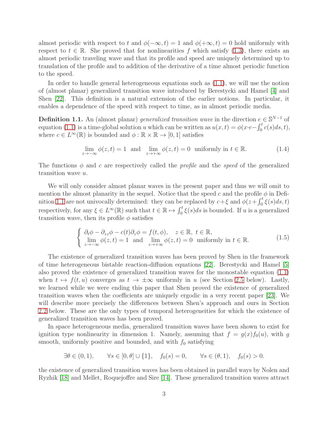almost periodic with respect to t and  $\phi(-\infty, t) = 1$  and  $\phi(+\infty, t) = 0$  hold uniformly with respect to  $t \in \mathbb{R}$ . She proved that for nonlinearities f which satisfy [\(1.3\)](#page-1-1), there exists an almost periodic traveling wave and that its profile and speed are uniquely determined up to translation of the profile and to addition of the derivative of a time almost periodic function to the speed.

In order to handle general heterogeneous equations such as [\(1.1\)](#page-0-0), we will use the notion of (almost planar) generalized transition wave introduced by Berestycki and Hamel [\[4\]](#page-24-0) and Shen [\[22\]](#page-25-0). This definition is a natural extension of the earlier notions. In particular, it enables a dependence of the speed with respect to time, as in almost periodic media.

<span id="page-2-0"></span>**Definition 1.1.** An (almost planar) generalized transition wave in the direction  $e \in S^{N-1}$  of equation [\(1.1\)](#page-0-0) is a time-global solution u which can be written as  $u(x,t) = \phi(x \cdot e - \int_0^t c(s) ds, t)$ , where  $c \in L^{\infty}(\mathbb{R})$  is bounded and  $\phi : \mathbb{R} \times \mathbb{R} \to [0, 1]$  satisfies

$$
\lim_{z \to -\infty} \phi(z, t) = 1 \text{ and } \lim_{z \to +\infty} \phi(z, t) = 0 \text{ uniformly in } t \in \mathbb{R}.
$$
 (1.4)

The functions  $\phi$  and c are respectively called the *profile* and the *speed* of the generalized transition wave u.

We will only consider almost planar waves in the present paper and thus we will omit to mention the almost planarity in the sequel. Notice that the speed c and the profile  $\phi$  in Defi-nition [1.1](#page-2-0) are not univocally determined: they can be replaced by  $c + \xi$  and  $\phi(z + \int_0^t \xi(s)ds, t)$ respectively, for any  $\xi \in L^{\infty}(\mathbb{R})$  such that  $t \in \mathbb{R} \mapsto \int_0^t \xi(s)ds$  is bounded. If u is a generalized transition wave, then its profile  $\phi$  satisfies

<span id="page-2-1"></span>
$$
\begin{cases}\n\partial_t \phi - \partial_{zz} \phi - c(t) \partial_z \phi = f(t, \phi), \quad z \in \mathbb{R}, \ t \in \mathbb{R}, \\
\lim_{z \to -\infty} \phi(z, t) = 1 \text{ and } \lim_{z \to +\infty} \phi(z, t) = 0 \text{ uniformly in } t \in \mathbb{R}.\n\end{cases}
$$
\n(1.5)

The existence of generalized transition waves has been proved by Shen in the framework of time heterogeneous bistable reaction-diffusion equations [\[22\]](#page-25-0). Berestycki and Hamel [\[5\]](#page-24-7) also proved the existence of generalized transition waves for the monostable equation [\(1.1\)](#page-0-0) when  $t \mapsto f(t, u)$  converges as  $t \to \pm \infty$  uniformly in u (see Section [2.5](#page-8-0) below). Lastly, we learned while we were ending this paper that Shen proved the existence of generalized transition waves when the coefficients are uniquely ergodic in a very recent paper [\[23\]](#page-25-6). We will describe more precisely the differences between Shen's approach and ours in Section [2.2](#page-4-0) below. These are the only types of temporal heterogeneities for which the existence of generalized transition waves has been proved.

In space heterogeneous media, generalized transition waves have been shown to exist for ignition type nonlinearity in dimension 1. Namely, assuming that  $f = g(x)f_0(u)$ , with g smooth, uniformly positive and bounded, and with  $f_0$  satisfying

$$
\exists \theta \in (0, 1), \quad \forall s \in [0, \theta] \cup \{1\}, \quad f_0(s) = 0, \quad \forall s \in (\theta, 1), \quad f_0(s) > 0.
$$

the existence of generalized transition waves has been obtained in parallel ways by Nolen and Ryzhik [\[18\]](#page-25-7) and Mellet, Roquejoffre and Sire [\[14\]](#page-24-8). These generalized transition waves attract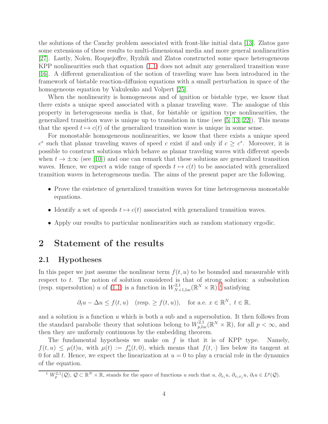the solutions of the Cauchy problem associated with front-like initial data [\[13\]](#page-24-9). Zlatos gave some extensions of these results to multi-dimensional media and more general nonlinearities [\[27\]](#page-25-8). Lastly, Nolen, Roquejoffre, Ryzhik and Zlatos constructed some space heterogeneous KPP nonlinearities such that equation [\(1.1\)](#page-0-0) does not admit any generalized transition wave [\[16\]](#page-25-9). A different generalization of the notion of traveling wave has been introduced in the framework of bistable reaction-diffusion equations with a small perturbation in space of the homogeneous equation by Vakulenko and Volpert [\[25\]](#page-25-10).

When the nonlinearity is homogeneous and of ignition or bistable type, we know that there exists a unique speed associated with a planar traveling wave. The analogue of this property in heterogeneous media is that, for bistable or ignition type nonlinearities, the generalized transition wave is unique up to translation in time (see [\[5,](#page-24-7) [13,](#page-24-9) [22\]](#page-25-0)). This means that the speed  $t \mapsto c(t)$  of the generalized transition wave is unique in some sense.

For monostable homogeneous nonlinearities, we know that there exists a unique speed  $c^*$  such that planar traveling waves of speed c exist if and only if  $c \geq c^*$ . Moreover, it is possible to construct solutions which behave as planar traveling waves with different speeds when  $t \to \pm \infty$  (see [\[10\]](#page-24-10)) and one can remark that these solutions are generalized transition waves. Hence, we expect a wide range of speeds  $t \mapsto c(t)$  to be associated with generalized transition waves in heterogeneous media. The aims of the present paper are the following.

- Prove the existence of generalized transition waves for time heterogeneous monostable equations.
- Identify a set of speeds  $t \mapsto c(t)$  associated with generalized transition waves.
- Apply our results to particular nonlinearities such as random stationary ergodic.

# <span id="page-3-1"></span>2 Statement of the results

### 2.1 Hypotheses

In this paper we just assume the nonlinear term  $f(t, u)$  to be bounded and measurable with respect to  $t$ . The notion of solution considered is that of strong solution: a subsolution (resp. supersolution) u of [\(1.1\)](#page-0-0) is a function in  $W^{2,1}_{N+1,loc}(\mathbb{R}^N \times \mathbb{R})$  $W^{2,1}_{N+1,loc}(\mathbb{R}^N \times \mathbb{R})$  $W^{2,1}_{N+1,loc}(\mathbb{R}^N \times \mathbb{R})$ <sup>1</sup> satisfying

$$
\partial_t u - \Delta u \le f(t, u)
$$
 (resp.  $\ge f(t, u)$ ), for a.e.  $x \in \mathbb{R}^N$ ,  $t \in \mathbb{R}$ ,

and a solution is a function  $u$  which is both a sub and a supersolution. It then follows from the standard parabolic theory that solutions belong to  $W_{p,loc}^{2,1}(\mathbb{R}^N\times\mathbb{R})$ , for all  $p<\infty$ , and then they are uniformly continuous by the embedding theorem.

The fundamental hypothesis we make on  $f$  is that it is of KPP type. Namely,  $f(t, u) \leq \mu(t)u$ , with  $\mu(t) := f'_u(t, 0)$ , which means that  $f(t, \cdot)$  lies below its tangent at 0 for all t. Hence, we expect the linearization at  $u = 0$  to play a crucial role in the dynamics of the equation.

<span id="page-3-0"></span><sup>&</sup>lt;sup>1</sup>  $W_p^{2,1}(\mathcal{Q}), \mathcal{Q} \subset \mathbb{R}^N \times \mathbb{R}$ , stands for the space of functions u such that  $u, \partial_{x_i}u, \partial_{x_ix_j}u, \partial_t u \in L^p(\mathcal{Q})$ .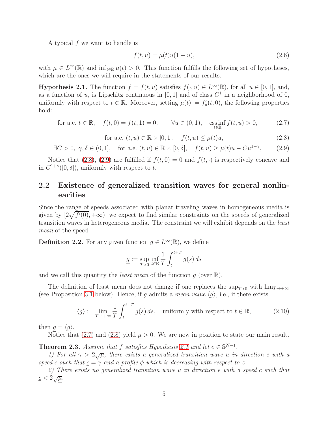A typical f we want to handle is

$$
f(t, u) = \mu(t)u(1 - u),
$$
\n(2.6)

with  $\mu \in L^{\infty}(\mathbb{R})$  and  $\inf_{t \in \mathbb{R}} \mu(t) > 0$ . This function fulfills the following set of hypotheses, which are the ones we will require in the statements of our results.

<span id="page-4-4"></span>**Hypothesis 2.1.** The function  $f = f(t, u)$  satisfies  $f(\cdot, u) \in L^{\infty}(\mathbb{R})$ , for all  $u \in [0, 1]$ , and, as a function of u, is Lipschitz continuous in  $[0, 1]$  and of class  $C<sup>1</sup>$  in a neighborhood of 0, uniformly with respect to  $t \in \mathbb{R}$ . Moreover, setting  $\mu(t) := f'_u(t, 0)$ , the following properties hold:

<span id="page-4-3"></span>for a.e. 
$$
t \in \mathbb{R}
$$
,  $f(t, 0) = f(t, 1) = 0$ ,  $\forall u \in (0, 1)$ ,  $\underset{t \in \mathbb{R}}{\text{ess inf}} f(t, u) > 0$ , (2.7)

<span id="page-4-1"></span>for a.e. 
$$
(t, u) \in \mathbb{R} \times [0, 1],
$$
  $f(t, u) \le \mu(t)u,$  (2.8)

<span id="page-4-2"></span> $\exists C > 0, \gamma, \delta \in (0, 1], \text{ for a.e. } (t, u) \in \mathbb{R} \times [0, \delta], \text{ } f(t, u) \geq \mu(t)u - Cu^{1+\gamma},$  $(2.9)$ 

Notice that [\(2.8\)](#page-4-1), [\(2.9\)](#page-4-2) are fulfilled if  $f(t, 0) = 0$  and  $f(t, \cdot)$  is respectively concave and in  $C^{1+\gamma}([0,\delta])$ , uniformly with respect to t.

### <span id="page-4-0"></span>2.2 Existence of generalized transition waves for general nonlinearities

Since the range of speeds associated with planar traveling waves in homogeneous media is given by  $[2\sqrt{f'(0)}, +\infty)$ , we expect to find similar constraints on the speeds of generalized transition waves in heterogeneous media. The constraint we will exhibit depends on the least mean of the speed.

<span id="page-4-6"></span>**Definition 2.2.** For any given function  $g \in L^{\infty}(\mathbb{R})$ , we define

$$
\underline{g} := \sup_{T>0} \inf_{t \in \mathbb{R}} \frac{1}{T} \int_{t}^{t+T} g(s) \, ds
$$

and we call this quantity the *least mean* of the function  $g$  (over  $\mathbb{R}$ ).

The definition of least mean does not change if one replaces the sup<sub>T>0</sub> with  $\lim_{T\to+\infty}$ (see Proposition [3.1](#page-11-0) below). Hence, if q admits a mean value  $\langle q \rangle$ , i.e., if there exists

<span id="page-4-7"></span>
$$
\langle g \rangle := \lim_{T \to +\infty} \frac{1}{T} \int_{t}^{t+T} g(s) \, ds, \quad \text{uniformly with respect to } t \in \mathbb{R}, \tag{2.10}
$$

then  $g = \langle g \rangle$ .

Notice that [\(2.7\)](#page-4-3) and [\(2.8\)](#page-4-1) yield  $\mu > 0$ . We are now in position to state our main result.

<span id="page-4-5"></span>**Theorem 2.3.** Assume that f satisfies Hypothesis [2.1](#page-4-4) and let  $e \in \mathbb{S}^{N-1}$ .

1) For all  $\gamma > 2\sqrt{\mu}$ , there exists a generalized transition wave u in direction e with a speed c such that  $c = \gamma$  and a profile  $\phi$  which is decreasing with respect to z.

2) There exists no generalized transition wave u in direction e with a speed c such that  $\underline{c} < 2\sqrt{\mu}$ .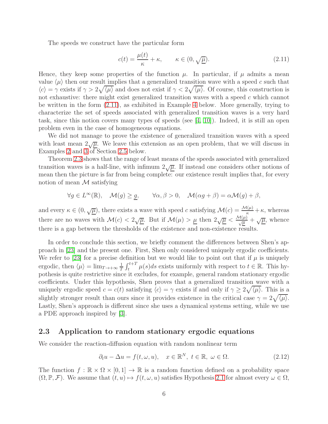The speeds we construct have the particular form

<span id="page-5-0"></span>
$$
c(t) = \frac{\mu(t)}{\kappa} + \kappa, \qquad \kappa \in (0, \sqrt{\underline{\mu}}). \tag{2.11}
$$

Hence, they keep some properties of the function  $\mu$ . In particular, if  $\mu$  admits a mean value  $\langle \mu \rangle$  then our result implies that a generalized transition wave with a speed c such that  $\langle c \rangle = \gamma$  exists if  $\gamma > 2\sqrt{\langle \mu \rangle}$  and does not exist if  $\gamma < 2\sqrt{\langle \mu \rangle}$ . Of course, this construction is not exhaustive: there might exist generalized transition waves with a speed c which cannot be written in the form [\(2.11\)](#page-5-0), as exhibited in Example [4](#page-10-0) below. More generally, trying to characterize the set of speeds associated with generalized transition waves is a very hard task, since this notion covers many types of speeds (see [\[4,](#page-24-0) [10\]](#page-24-10)). Indeed, it is still an open problem even in the case of homogeneous equations.

We did not manage to prove the existence of generalized transition waves with a speed with least mean  $2\sqrt{\mu}$ . We leave this extension as an open problem, that we will discuss in Examples [2](#page-9-0) and [3](#page-9-1) of Section [2.5](#page-8-0) below.

Theorem [2.3](#page-4-5) shows that the range of least means of the speeds associated with generalized transition waves is a half-line, with infimum  $2\sqrt{\mu}$ . If instead one considers other notions of mean then the picture is far from being complete: our existence result implies that, for every notion of mean  $M$  satisfying

$$
\forall g \in L^{\infty}(\mathbb{R}), \quad \mathcal{M}(g) \geq \underline{g}, \qquad \forall \alpha, \beta > 0, \quad \mathcal{M}(\alpha g + \beta) = \alpha \mathcal{M}(g) + \beta,
$$

and every  $\kappa \in (0, \sqrt{\underline{\mu}})$ , there exists a wave with speed c satisfying  $\mathcal{M}(c) = \frac{\mathcal{M}(\mu)}{\kappa} + \kappa$ , whereas there are no waves with  $\mathcal{M}(c) < 2\sqrt{\underline{\mu}}$ . But if  $\mathcal{M}(\mu) > \underline{\mu}$  then  $2\sqrt{\underline{\mu}} < \frac{\mathcal{M}(\mu)}{\sqrt{\mu}} + \sqrt{\underline{\mu}}$ , whence there is a gap between the thresholds of the existence and non-existence results.

In order to conclude this section, we briefly comment the differences between Shen's approach in [\[23\]](#page-25-6) and the present one. First, Shen only considered uniquely ergodic coefficients. We refer to [\[23\]](#page-25-6) for a precise definition but we would like to point out that if  $\mu$  is uniquely ergodic, then  $\langle \mu \rangle = \lim_{T \to +\infty} \frac{1}{T}$  $\frac{1}{T} \int_{t}^{t+T} \mu(s)ds$  exists uniformly with respect to  $t \in \mathbb{R}$ . This hypothesis is quite restrictive since it excludes, for example, general random stationary ergodic coefficients. Under this hypothesis, Shen proves that a generalized transition wave with a uniquely ergodic speed  $c = c(t)$  satisfying  $\langle c \rangle = \gamma$  exists if and only if  $\gamma \ge 2\sqrt{\langle \mu \rangle}$ . This is a slightly stronger result than ours since it provides existence in the critical case  $\gamma = 2\sqrt{\langle \mu \rangle}$ . Lastly, Shen's approach is different since she uses a dynamical systems setting, while we use a PDE approach inspired by [\[3\]](#page-24-5).

#### 2.3 Application to random stationary ergodic equations

We consider the reaction-diffusion equation with random nonlinear term

<span id="page-5-1"></span>
$$
\partial_t u - \Delta u = f(t, \omega, u), \quad x \in \mathbb{R}^N, \ t \in \mathbb{R}, \ \omega \in \Omega.
$$
 (2.12)

The function  $f : \mathbb{R} \times \Omega \times [0,1] \to \mathbb{R}$  is a random function defined on a probability space  $(\Omega, \mathbb{P}, \mathcal{F})$ . We assume that  $(t, u) \mapsto f(t, \omega, u)$  satisfies Hypothesis [2.1](#page-4-4) for almost every  $\omega \in \Omega$ ,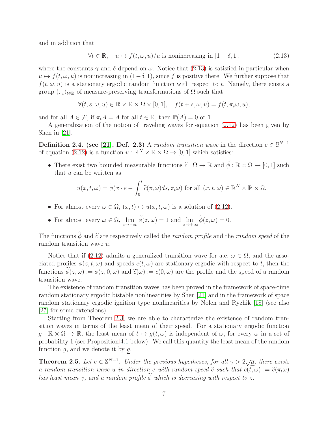and in addition that

<span id="page-6-0"></span>
$$
\forall t \in \mathbb{R}, \quad u \mapsto f(t, \omega, u)/u \text{ is nonincreasing in } [1 - \delta, 1], \tag{2.13}
$$

where the constants  $\gamma$  and  $\delta$  depend on  $\omega$ . Notice that [\(2.13\)](#page-6-0) is satisfied in particular when  $u \mapsto f(t, \omega, u)$  is nonincreasing in  $(1-\delta, 1)$ , since f is positive there. We further suppose that  $f(t, \omega, u)$  is a stationary ergodic random function with respect to t. Namely, there exists a group  $(\pi_t)_{t \in \mathbb{R}}$  of measure-preserving transformations of  $\Omega$  such that

$$
\forall (t,s,\omega,u)\in\mathbb{R}\times\mathbb{R}\times\Omega\times[0,1],\quad f(t+s,\omega,u)=f(t,\pi_s\omega,u),
$$

and for all  $A \in \mathcal{F}$ , if  $\pi_t A = A$  for all  $t \in \mathbb{R}$ , then  $\mathbb{P}(A) = 0$  or 1.

A generalization of the notion of traveling waves for equation [\(2.12\)](#page-5-1) has been given by Shen in [\[21\]](#page-25-11).

**Definition 2.4.** (see [\[21\]](#page-25-11), Def. 2.3) A random transition wave in the direction  $e \in \mathbb{S}^{N-1}$ of equation [\(2.12\)](#page-5-1) is a function  $u : \mathbb{R}^N \times \mathbb{R} \times \Omega \to [0, 1]$  which satisfies:

• There exist two bounded measurable functions  $\tilde{c} : \Omega \to \mathbb{R}$  and  $\tilde{\phi} : \mathbb{R} \times \Omega \to [0, 1]$  such that  $u$  can be written as

$$
u(x,t,\omega) = \widetilde{\phi}(x \cdot e - \int_0^t \widetilde{c}(\pi_s \omega) ds, \pi_t \omega) \text{ for all } (x,t,\omega) \in \mathbb{R}^N \times \mathbb{R} \times \Omega.
$$

- For almost every  $\omega \in \Omega$ ,  $(x, t) \mapsto u(x, t, \omega)$  is a solution of [\(2.12\)](#page-5-1).
- For almost every  $\omega \in \Omega$ ,  $\lim_{z \to -\infty} \phi(z, \omega) = 1$  and  $\lim_{z \to +\infty} \phi(z, \omega) = 0$ .

The functions  $\widetilde{\phi}$  and  $\widetilde{c}$  are respectively called the *random profile* and the *random speed* of the random transition wave u.

Notice that if [\(2.12\)](#page-5-1) admits a generalized transition wave for a.e.  $\omega \in \Omega$ , and the associated profiles  $\phi(z, t, \omega)$  and speeds  $c(t, \omega)$  are stationary ergodic with respect to t, then the functions  $\phi(z,\omega) := \phi(z,0,\omega)$  and  $\tilde{c}(\omega) := c(0,\omega)$  are the profile and the speed of a random transition wave.

The existence of random transition waves has been proved in the framework of space-time random stationary ergodic bistable nonlinearities by Shen [\[21\]](#page-25-11) and in the framework of space random stationary ergodic ignition type nonlinearities by Nolen and Ryzhik [\[18\]](#page-25-7) (see also [\[27\]](#page-25-8) for some extensions).

Starting from Theorem [2.3,](#page-4-5) we are able to characterize the existence of random transition waves in terms of the least mean of their speed. For a stationary ergodic function  $q : \mathbb{R} \times \Omega \to \mathbb{R}$ , the least mean of  $t \mapsto q(t, \omega)$  is independent of  $\omega$ , for every  $\omega$  in a set of probability 1 (see Proposition [4.1](#page-18-0) below). We call this quantity the least mean of the random function  $g$ , and we denote it by  $g$ .

<span id="page-6-1"></span>**Theorem 2.5.** Let  $e \in \mathbb{S}^{N-1}$ . Under the previous hypotheses, for all  $\gamma > 2\sqrt{\mu}$ , there exists a random transition wave u in direction e with random speed  $\tilde{c}$  such that  $c(t, \omega) := \tilde{c}(\pi_t \omega)$ has least mean  $\gamma$ , and a random profile  $\widetilde{\phi}$  which is decreasing with respect to z.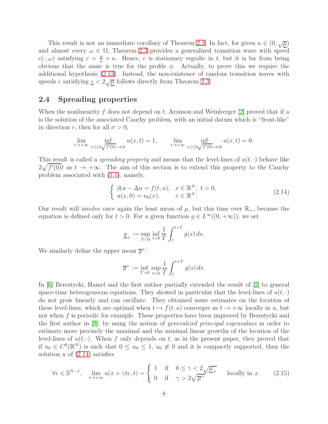This result is not an immediate corollary of Theorem [2.3.](#page-4-5) In fact, for given  $\kappa \in (0, \sqrt{\mu})$ and almost every  $\omega \in \Omega$ , Theorem [2.3](#page-4-5) provides a generalized transition wave with speed  $c(\cdot,\omega)$  satisfying  $c = \frac{\mu}{\kappa} + \kappa$ . Hence, c is stationary ergodic in t, but it is far from being obvious that the same is true for the profile  $\phi$ . Actually, to prove this we require the additional hypothesis [\(2.13\)](#page-6-0). Instead, the non-existence of random transition waves with speeds c satisfying  $c < 2\sqrt{\mu}$  follows directly from Theorem [2.3.](#page-4-5)

### 2.4 Spreading properties

When the nonlinearity f does not depend on t, Aronson and Weinberger [\[2\]](#page-24-1) proved that if u is the solution of the associated Cauchy problem, with an initial datum which is "front-like" in direction e, then for all  $\sigma > 0$ ,

$$
\lim_{t \to +\infty} \inf_{x \le (2\sqrt{f'(0)} - \sigma)t} u(x, t) = 1, \qquad \lim_{t \to +\infty} \inf_{x \ge (2\sqrt{f'(0)} + \sigma)t} u(x, t) = 0.
$$

This result is called a *spreading property* and means that the level-lines of  $u(t, \cdot)$  behave like  $2\sqrt{f'(0)}t$  as  $t \to +\infty$ . The aim of this section is to extend this property to the Cauchy problem associated with [\(1.1\)](#page-0-0), namely,

<span id="page-7-0"></span>
$$
\begin{cases}\n\partial_t u - \Delta u = f(t, u), & x \in \mathbb{R}^N, \ t > 0, \\
u(x, 0) = u_0(x), & x \in \mathbb{R}^N.\n\end{cases}
$$
\n(2.14)

Our result will involve once again the least mean of  $\mu$ , but this time over  $\mathbb{R}_+$ , because the equation is defined only for  $t > 0$ . For a given function  $g \in L^{\infty}((0, +\infty))$ , we set

$$
\underline{g}_{+} := \sup_{T>0} \inf_{t>0} \frac{1}{T} \int_{t}^{t+T} g(s) \, ds.
$$

We similarly define the upper mean  $\overline{g}^+$ :

$$
\overline{g}^+ := \inf_{T>0} \sup_{t>0} \frac{1}{T} \int_t^{t+T} g(s) \, ds.
$$

In [\[6\]](#page-24-11) Berestycki, Hamel and the first author partially extended the result of [\[2\]](#page-24-1) to general space-time heterogeneous equations. They showed in particular that the level-lines of  $u(t, \cdot)$ do not grow linearly and can oscillate. They obtained some estimates on the location of these level-lines, which are optimal when  $t \mapsto f(t, u)$  converges as  $t \to +\infty$  locally in u, but not when f is periodic for example. These properties have been improved by Berestycki and the first author in [\[9\]](#page-24-12), by using the notion of generalized principal eigenvalues in order to estimate more precisely the maximal and the minimal linear growths of the location of the level-lines of  $u(t, \cdot)$ . When f only depends on t, as in the present paper, they proved that if  $u_0 \in C^0(\mathbb{R}^N)$  is such that  $0 \le u_0 \le 1$ ,  $u_0 \ne 0$  and it is compactly supported, then the solution  $u$  of  $(2.14)$  satisfies

<span id="page-7-1"></span>
$$
\forall e \in \mathbb{S}^{N-1}, \quad \lim_{t \to +\infty} u(x + \gamma t e, t) = \begin{cases} 1 & \text{if } 0 \le \gamma < 2\sqrt{\mu_{+}}\\ 0 & \text{if } \gamma > 2\sqrt{\overline{\mu^{+}}} \end{cases} \quad \text{locally in } x. \tag{2.15}
$$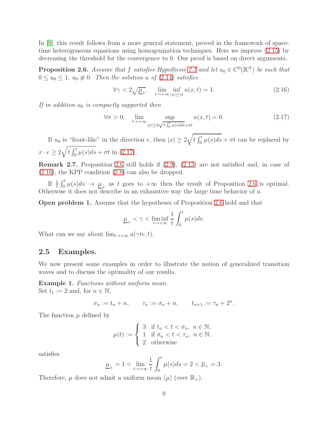In [\[9\]](#page-24-12), this result follows from a more general statement, proved in the framework of spacetime heterogeneous equations using homogenization techniques. Here we improve [\(2.15\)](#page-7-1) by decreasing the threshold for the convergence to 0. Our proof is based on direct arguments.

<span id="page-8-2"></span>**Proposition 2.6.** Assume that f satisfies Hypothesis [2.1](#page-4-4) and let  $u_0 \in C^0(\mathbb{R}^N)$  be such that  $0 \le u_0 \le 1$ ,  $u_0 \neq 0$ . Then the solution u of [\(2.14\)](#page-7-0) satisfies

<span id="page-8-3"></span>
$$
\forall \gamma < 2\sqrt{\underline{\mu}_{+}}, \quad \lim_{t \to +\infty} \inf_{|x| \le \gamma t} u(x, t) = 1. \tag{2.16}
$$

If in addition  $u_0$  is compactly supported then

<span id="page-8-1"></span>
$$
\forall \sigma > 0, \quad \lim_{t \to +\infty} \sup_{|x| \ge 2\sqrt{t \int_0^t \mu(s)ds} + \sigma t} u(x, t) = 0. \tag{2.17}
$$

If  $u_0$  is "front-like" in the direction e, then  $|x| \geq 2\sqrt{t \int_0^t \mu(s)ds} + \sigma t$  can be replaced by  $x \cdot e \geq 2\sqrt{t \int_0^t \mu(s)ds} + \sigma t$  in [\(2.17\)](#page-8-1).

Remark 2.7. Proposition [2.6](#page-8-2) still holds if [\(2.9\)](#page-4-2), [\(2.13\)](#page-6-0) are not satisfied and, in case of [\(2.16\)](#page-8-3), the KPP condition [\(2.8\)](#page-4-1) can also be dropped.

If  $\frac{1}{t} \int_0^t \mu(s) ds \to \mu_+$  as t goes to  $+\infty$  then the result of Proposition [2.6](#page-8-2) is optimal. Otherwise it does not describe in an exhaustive way the large time behavior of  $u$ .

Open problem 1. Assume that the hypotheses of Proposition [2.6](#page-8-2) hold and that

$$
\underline{\mu}_+ < \gamma < \liminf_{t \to +\infty} \frac{1}{t} \int_0^t \mu(s) ds.
$$

<span id="page-8-0"></span>What can we say about  $\lim_{t\to+\infty} u(\gamma t e, t)$ .

#### 2.5 Examples.

We now present some examples in order to illustrate the notion of generalized transition waves and to discuss the optimality of our results.

Example 1. Functions without uniform mean. Set  $t_1 := 2$  and, for  $n \in \mathbb{N}$ ,

$$
\sigma_n := t_n + n, \qquad \tau_n := \sigma_n + n, \qquad t_{n+1} := \tau_n + 2^n.
$$

The function  $\mu$  defined by

$$
\mu(t) := \begin{cases} 3 & \text{if } t_n < t < \sigma_n, \ n \in \mathbb{N}, \\ 1 & \text{if } \sigma_n < t < \tau_n, \ n \in \mathbb{N}, \\ 2 & \text{otherwise} \end{cases}
$$

satisfies

$$
\underline{\mu}_{+} = 1 < \lim_{t \to +\infty} \frac{1}{t} \int_0^t \mu(s) ds = 2 < \overline{\mu}_{+} = 3.
$$

Therefore,  $\mu$  does not admit a uniform mean  $\langle \mu \rangle$  (over  $\mathbb{R}_+$ ).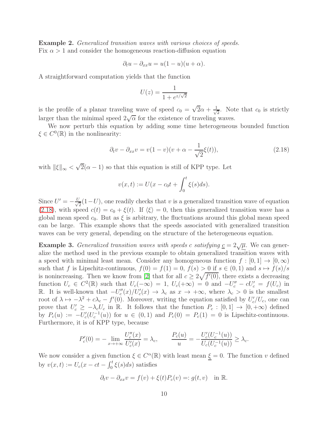<span id="page-9-0"></span>Example 2. Generalized transition waves with various choices of speeds. Fix  $\alpha > 1$  and consider the homogeneous reaction-diffusion equation

$$
\partial_t u - \partial_{xx} u = u(1 - u)(u + \alpha).
$$

A straightforward computation yields that the function

$$
U(z) = \frac{1}{1 + e^{z/\sqrt{2}}}
$$

is the profile of a planar traveling wave of speed  $c_0 = \sqrt{2\alpha} + \frac{1}{\sqrt{2}}$  $\frac{1}{2}$ . Note that  $c_0$  is strictly larger than the minimal speed  $2\sqrt{\alpha}$  for the existence of traveling waves.

We now perturb this equation by adding some time heterogeneous bounded function  $\xi \in C^0(\mathbb{R})$  in the nonlinearity:

<span id="page-9-2"></span>
$$
\partial_t v - \partial_{xx} v = v(1 - v)(v + \alpha - \frac{1}{\sqrt{2}}\xi(t)),\tag{2.18}
$$

with  $\|\xi\|_{\infty} < \sqrt{2}(\alpha - 1)$  so that this equation is still of KPP type. Let

$$
v(x,t) := U(x - c_0t + \int_0^t \xi(s)ds).
$$

Since  $U' = -\frac{U}{\sqrt{2}}$  $\frac{1}{2}(1-U)$ , one readily checks that v is a generalized transition wave of equation [\(2.18\)](#page-9-2), with speed  $c(t) = c_0 + \xi(t)$ . If  $\langle \xi \rangle = 0$ , then this generalized transition wave has a global mean speed  $c_0$ . But as  $\xi$  is arbitrary, the fluctuations around this global mean speed can be large. This example shows that the speeds associated with generalized transition waves can be very general, depending on the structure of the heterogeneous equation.

<span id="page-9-1"></span>**Example 3.** Generalized transition waves with speeds c satisfying  $\underline{c} = 2\sqrt{\underline{\mu}}$ . We can generalize the method used in the previous example to obtain generalized transition waves with a speed with minimal least mean. Consider any homogeneous function  $f : [0, 1] \rightarrow [0, \infty)$ such that f is Lipschitz-continuous,  $f(0) = f(1) = 0$ ,  $f(s) > 0$  if  $s \in (0,1)$  and  $s \mapsto f(s)/s$ is nonincreasing. Then we know from [\[2\]](#page-24-1) that for all  $c \geq 2\sqrt{f'(0)}$ , there exists a decreasing function  $U_c \in C^2(\mathbb{R})$  such that  $U_c(-\infty) = 1$ ,  $U_c(+\infty) = 0$  and  $-U''_c - cU'_c = f(U_c)$  in R. It is well-known that  $-U''_c(x)/U'_c(x) \to \lambda_c$  as  $x \to +\infty$ , where  $\lambda_c > 0$  is the smallest root of  $\lambda \mapsto -\lambda^2 + c\lambda_c - f'(0)$ . Moreover, writing the equation satisfied by  $U_c'/U_c$ , one can prove that  $U'_c \geq -\lambda_c U_c$  in R. It follows that the function  $P_c : [0,1] \to [0,+\infty)$  defined by  $P_c(u) := -U'_c(U_c^{-1}(u))$  for  $u \in (0,1)$  and  $P_c(0) = P_c(1) = 0$  is Lipschitz-continuous. Furthermore, it is of KPP type, because

$$
P_c'(0) = -\lim_{x \to +\infty} \frac{U_c''(x)}{U_c'(x)} = \lambda_c, \qquad \frac{P_c(u)}{u} = -\frac{U_c'(U_c^{-1}(u))}{U_c(U_c^{-1}(u))} \ge \lambda_c.
$$

We now consider a given function  $\xi \in C^{\alpha}(\mathbb{R})$  with least mean  $\underline{\xi} = 0$ . The function v defined by  $v(x,t) := U_c(x - ct - \int_0^t \xi(s)ds)$  satisfies

$$
\partial_t v - \partial_{xx} v = f(v) + \xi(t)P_c(v) =: g(t, v) \text{ in } \mathbb{R}.
$$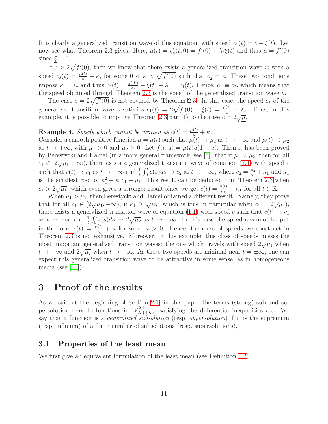It is clearly a generalized transition wave of this equation, with speed  $c_1(t) = c + \xi(t)$ . Let now see what Theorem [2.3](#page-4-5) gives. Here,  $\mu(t) = g'_u(t,0) = f'(0) + \lambda_c \xi(t)$  and thus  $\underline{\mu} = f'(0)$ since  $\xi = 0$ .

If  $c > 2\sqrt{f'(0)}$ , then we know that there exists a generalized transition wave w with a speed  $c_2(t) = \frac{\mu(t)}{\kappa} + \kappa$ , for some  $0 < \kappa < \sqrt{f'(0)}$  such that  $c_2 = c$ . These two conditions impose  $\kappa = \lambda_c$  and thus  $c_2(t) = \frac{f'(0)}{\lambda_c}$  $\frac{f(0)}{\lambda_c} + \xi(t) + \lambda_c = c_1(t)$ . Hence,  $c_1 \equiv c_2$ , which means that the speed obtained through Theorem [2.3](#page-4-5) is the speed of the generalized transition wave  $v$ .

The case  $c = 2\sqrt{f'(0)}$  is not covered by Theorem [2.3.](#page-4-5) In this case, the speed  $c_1$  of the generalized transition wave v satisfies  $c_1(t) = 2\sqrt{f'(0)} + \xi(t) = \frac{\mu(t)}{\lambda_c} + \lambda_c$ . Thus, in this example, it is possible to improve Theorem [2.3](#page-4-5) part 1) to the case  $c = 2\sqrt{\mu}$ .

# <span id="page-10-0"></span>**Example 4.** Speeds which cannot be written as  $c(t) = \frac{\mu(t)}{\kappa} + \kappa$ .

Consider a smooth positive function  $\mu = \mu(t)$  such that  $\mu(t) \to \mu_1$  as  $t \to -\infty$  and  $\mu(t) \to \mu_2$ as  $t \to +\infty$ , with  $\mu_1 > 0$  and  $\mu_2 > 0$ . Let  $f(t, u) = \mu(t)u(1 - u)$ . Then it has been proved by Berestycki and Hamel (in a more general framework, see [\[5\]](#page-24-7)) that if  $\mu_1 < \mu_2$ , then for all  $c_1 \in [2\sqrt{\mu_1}, +\infty)$ , there exists a generalized transition wave of equation [\(1.1\)](#page-0-0) with speed c such that  $c(t) \to c_1$  as  $t \to -\infty$  and  $\frac{1}{t} \int_0^t c(s) ds \to c_2$  as  $t \to +\infty$ , where  $c_2 = \frac{\mu_2}{\kappa_1}$  $\frac{\mu_2}{\kappa_1} + \kappa_1$  and  $\kappa_1$ is the smallest root of  $\kappa_1^2 - \kappa_1 c_1 + \mu_1$ . This result can be deduced from Theorem [2.3](#page-4-5) when  $c_1 > 2\sqrt{\mu_1}$ , which even gives a stronger result since we get  $c(t) = \frac{\mu(t)}{\kappa_1} + \kappa_1$  for all  $t \in \mathbb{R}$ .

When  $\mu_1 > \mu_2$ , then Berestycki and Hamel obtained a different result. Namely, they prove that for all  $c_1 \in [2\sqrt{\mu_1}, +\infty)$ , if  $\kappa_1 \geq \sqrt{\mu_2}$  (which is true in particular when  $c_1 = 2\sqrt{\mu_1}$ ), there exists a generalized transition wave of equation [\(1.1\)](#page-0-0) with speed c such that  $c(t) \rightarrow c_1$ as  $t \to -\infty$  and  $\frac{1}{t} \int_0^t c(s) ds \to 2\sqrt{\mu_2}$  as  $t \to +\infty$ . In this case the speed c cannot be put in the form  $c(t) = \frac{\mu(t)}{\kappa} + \kappa$  for some  $\kappa > 0$ . Hence, the class of speeds we construct in Theorem [2.3](#page-4-5) is not exhaustive. Moreover, in this example, this class of speeds misses the most important generalized transition waves: the one which travels with speed  $2\sqrt{\mu_1}$  when  $t \to -\infty$  and  $2\sqrt{\mu_2}$  when  $t \to +\infty$ . As these two speeds are minimal near  $t = \pm \infty$ , one can expect this generalized transition wave to be attractive in some sense, as in homogeneous media (see [\[11\]](#page-24-2)).

### 3 Proof of the results

As we said at the beginning of Section [2.1,](#page-3-1) in this paper the terms (strong) sub and supersolution refer to functions in  $W^{2,1}_{N+1,loc}$ , satisfying the differential inequalities a.e. We say that a function is a *generalized subsolution* (resp. *supersolution*) if it is the supremum (resp. infimum) of a finite number of subsolutions (resp. supersolutions).

#### 3.1 Properties of the least mean

We first give an equivalent formulation of the least mean (see Definition [2.2\)](#page-4-6).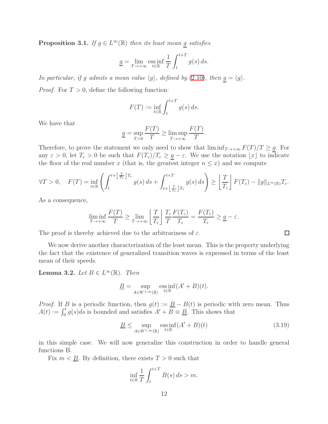<span id="page-11-0"></span>**Proposition 3.1.** If  $g \in L^{\infty}(\mathbb{R})$  then its least mean <u>g</u> satisfies

$$
\underline{g} = \lim_{T \to +\infty} \underset{t \in \mathbb{R}}{\text{ess inf}} \frac{1}{T} \int_{t}^{t+T} g(s) \, ds.
$$

In particular, if g admits a mean value  $\langle g \rangle$ , defined by [\(2.10\)](#page-4-7), then  $g = \langle g \rangle$ . *Proof.* For  $T > 0$ , define the following function:

$$
F(T) := \inf_{t \in \mathbb{R}} \int_{t}^{t+T} g(s) \, ds.
$$

We have that

$$
\underline{g} = \sup_{T>0} \frac{F(T)}{T} \ge \limsup_{T \to +\infty} \frac{F(T)}{T}.
$$

Therefore, to prove the statement we only need to show that  $\liminf_{T\to+\infty} F(T)/T \geq \underline{g}$ . For any  $\varepsilon > 0$ , let  $T_{\varepsilon} > 0$  be such that  $F(T_{\varepsilon})/T_{\varepsilon} \geq \underline{g} - \varepsilon$ . We use the notation  $\lfloor x \rfloor$  to indicate the floor of the real number x (that is, the greatest integer  $n \leq x$ ) and we compute

$$
\forall T > 0, \quad F(T) = \inf_{t \in \mathbb{R}} \left( \int_{t}^{t + \left\lfloor \frac{T}{T_{\varepsilon}} \right\rfloor T_{\varepsilon}} g(s) \, ds + \int_{t + \left\lfloor \frac{T}{T_{\varepsilon}} \right\rfloor T_{\varepsilon}}^{t + T} g(s) \, ds \right) \ge \left\lfloor \frac{T}{T_{\varepsilon}} \right\rfloor F(T_{\varepsilon}) - \|g\|_{L^{\infty}(\mathbb{R})} T_{\varepsilon}.
$$

As a consequence,

$$
\liminf_{T \to +\infty} \frac{F(T)}{T} \ge \lim_{T \to +\infty} \left\lfloor \frac{T}{T_{\varepsilon}} \right\rfloor \frac{T_{\varepsilon}}{T} \frac{F(T_{\varepsilon})}{T_{\varepsilon}} = \frac{F(T_{\varepsilon})}{T_{\varepsilon}} \ge \underline{g} - \varepsilon.
$$

The proof is thereby achieved due to the arbitrariness of  $\varepsilon$ .

We now derive another characterization of the least mean. This is the property underlying the fact that the existence of generalized transition waves is expressed in terms of the least mean of their speeds.

<span id="page-11-2"></span>**Lemma 3.2.** Let  $B \in L^{\infty}(\mathbb{R})$ . Then

$$
\underline{B} = \sup_{A \in W^{1,\infty}(\mathbb{R})} \operatorname{ess\,inf}_{t \in \mathbb{R}} (A' + B)(t).
$$

*Proof.* If B is a periodic function, then  $g(t) := \underline{B} - B(t)$  is periodic with zero mean. Thus  $A(t) := \int_0^t g(s)ds$  is bounded and satisfies  $A' + \overline{B} \equiv \underline{B}$ . This shows that

<span id="page-11-1"></span>
$$
\underline{B} \le \sup_{A \in W^{1,\infty}(\mathbb{R})} \operatorname{ess\,inf}_{t \in \mathbb{R}} (A' + B)(t) \tag{3.19}
$$

in this simple case. We will now generalize this construction in order to handle general functions B.

Fix  $m < \underline{B}$ . By definition, there exists  $T > 0$  such that

$$
\inf_{t \in \mathbb{R}} \frac{1}{T} \int_{t}^{t+T} B(s) \, ds > m.
$$

 $\Box$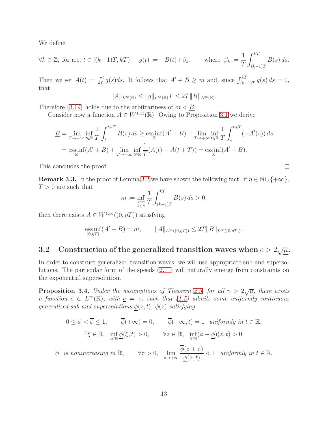We define

$$
\forall k \in \mathbb{Z}, \text{ for a.e. } t \in [(k-1)T, kT), \quad g(t) := -B(t) + \beta_k, \quad \text{where } \beta_k := \frac{1}{T} \int_{(k-1)T}^{kT} B(s) \, ds.
$$

Then we set  $A(t) := \int_0^t g(s)ds$ . It follows that  $A' + B \geq m$  and, since  $\int_{(k-1)T}^{k} g(s) ds = 0$ , that

$$
||A||_{L^{\infty}(\mathbb{R})} \le ||g||_{L^{\infty}(\mathbb{R})}T \le 2T||B||_{L^{\infty}(\mathbb{R})}.
$$

Therefore [\(3.19\)](#page-11-1) holds due to the arbitrariness of  $m < B$ .

Consider now a function  $A \in W^{1,\infty}(\mathbb{R})$ . Owing to Proposition [3.1](#page-11-0) we derive

$$
\underline{B} = \lim_{T \to +\infty} \inf_{t \in \mathbb{R}} \frac{1}{T} \int_{t}^{t+T} B(s) \, ds \ge \operatorname*{ess}_{\mathbb{R}} \inf(A' + B) + \lim_{T \to +\infty} \inf_{t \in \mathbb{R}} \frac{1}{T} \int_{t}^{t+T} (-A'(s)) \, ds
$$
\n
$$
= \operatorname*{ess}_{\mathbb{R}} \inf(A' + B) + \lim_{T \to +\infty} \inf_{t \in \mathbb{R}} \frac{1}{T} (A(t) - A(t + T)) = \operatorname*{ess}_{\mathbb{R}} \inf(A' + B).
$$

This concludes the proof.

<span id="page-12-1"></span>**Remark 3.3.** In the proof of Lemma [3.2](#page-11-2) we have shown the following fact: if  $\eta \in \mathbb{N} \cup \{+\infty\}$ ,  $T > 0$  are such that

 $\Box$ 

$$
m := \inf_{\substack{k \in \mathbb{N} \\ k \le \eta}} \frac{1}{T} \int_{(k-1)T}^{kT} B(s) \, ds > 0,
$$

then there exists  $A \in W^{1,\infty}((0,\eta T))$  satisfying

$$
\underset{[0,\eta T)}{\mathrm{ess\,inf}}(A'+B)=m, \qquad \|A\|_{L^{\infty}((0,\eta T))} \leq 2T \|B\|_{L^{\infty}((0,\eta T))}.
$$

# 3.2 Construction of the generalized transition waves when  $c > 2\sqrt{\mu}$ .

In order to construct generalized transition waves, we will use appropriate sub and supersolutions. The particular form of the speeds [\(2.11\)](#page-5-0) will naturally emerge from constraints on the exponential supersolution.

<span id="page-12-0"></span>**Proposition 3.4.** Under the assumptions of Theorem [2.3,](#page-4-5) for all  $\gamma > 2\sqrt{\mu}$ , there exists a function  $c \in L^{\infty}(\mathbb{R})$ , with  $\underline{c} = \gamma$ , such that  $(1.5)$  admits some uniformly continuous generalized sub and supersolutions  $\underline{\phi}(z,t)$ ,  $\overline{\phi}(z)$  satisfying

$$
0 \leq \underline{\phi} < \overline{\phi} \leq 1, \qquad \overline{\phi}(+\infty) = 0, \qquad \overline{\phi}(-\infty, t) = 1 \quad \text{uniformly in } t \in \mathbb{R},
$$
\n
$$
\exists \xi \in \mathbb{R}, \quad \inf_{t \in \mathbb{R}} \underline{\phi}(\xi, t) > 0, \qquad \forall z \in \mathbb{R}, \quad \inf_{t \in \mathbb{R}} (\overline{\phi} - \underline{\phi})(z, t) > 0.
$$
\n
$$
\overline{\phi} \text{ is nonincreasing in } \mathbb{R}, \qquad \forall \tau > 0, \quad \lim_{z \to +\infty} \frac{\overline{\phi}(z + \tau)}{\underline{\phi}(z, t)} < 1 \quad \text{uniformly in } t \in \mathbb{R}.
$$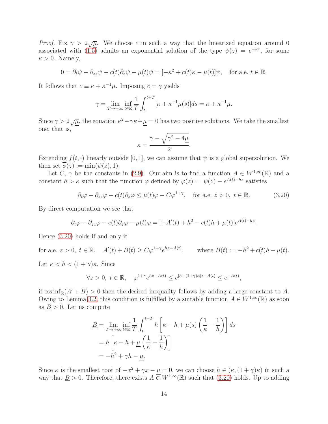*Proof.* Fix  $\gamma > 2\sqrt{\mu}$ . We choose c in such a way that the linearized equation around 0 associated with  $(1.5)$  admits an exponential solution of the type  $\psi(z) = e^{-\kappa z}$ , for some  $\kappa > 0$ . Namely,

$$
0 = \partial_t \psi - \partial_{zz} \psi - c(t) \partial_z \psi - \mu(t) \psi = [-\kappa^2 + c(t)\kappa - \mu(t)] \psi, \text{ for a.e. } t \in \mathbb{R}.
$$

It follows that  $c \equiv \kappa + \kappa^{-1}\mu$ . Imposing  $\underline{c} = \gamma$  yields

$$
\gamma = \lim_{T \to +\infty} \inf_{t \in \mathbb{R}} \frac{1}{T} \int_{t}^{t+T} [\kappa + \kappa^{-1} \mu(s)] ds = \kappa + \kappa^{-1} \underline{\mu}.
$$

Since  $\gamma > 2\sqrt{\underline{\mu}}$ , the equation  $\kappa^2 - \gamma \kappa + \underline{\mu} = 0$  has two positive solutions. We take the smallest one, that is,

$$
\kappa = \frac{\gamma - \sqrt{\gamma^2 - 4\mu}}{2}.
$$

Extending  $f(t, \cdot)$  linearly outside [0, 1], we can assume that  $\psi$  is a global supersolution. We then set  $\phi(z) := \min(\psi(z), 1)$ .

Let C,  $\gamma$  be the constants in [\(2.9\)](#page-4-2). Our aim is to find a function  $A \in W^{1,\infty}(\mathbb{R})$  and a constant  $h > \kappa$  such that the function  $\varphi$  defined by  $\varphi(z) := \psi(z) - e^{A(t)-hz}$  satisfies

<span id="page-13-0"></span>
$$
\partial_t \varphi - \partial_{zz} \varphi - c(t) \partial_z \varphi \le \mu(t) \varphi - C \varphi^{1+\gamma}, \quad \text{for a.e. } z > 0, \ t \in \mathbb{R}.
$$
 (3.20)

By direct computation we see that

$$
\partial_t \varphi - \partial_{zz} \varphi - c(t) \partial_z \varphi - \mu(t) \varphi = [-A'(t) + h^2 - c(t)h + \mu(t)]e^{A(t) - hz}.
$$

Hence [\(3.20\)](#page-13-0) holds if and only if

for a.e.  $z > 0$ ,  $t \in \mathbb{R}$ ,  $A'(t) + B(t) \ge C\varphi^{1+\gamma}e^{hz - A(t)}$ , where  $B(t) := -h^2 + c(t)h - \mu(t)$ .

Let  $\kappa < h < (1 + \gamma)\kappa$ . Since

$$
\forall z > 0, \ t \in \mathbb{R}, \quad \varphi^{1+\gamma} e^{hz - A(t)} \le e^{[h - (1+\gamma)\kappa]z - A(t)} \le e^{-A(t)},
$$

if  $\operatorname{ess\,inf}_{\mathbb{R}}(A' + B) > 0$  then the desired inequality follows by adding a large constant to A. Owing to Lemma [3.2,](#page-11-2) this condition is fulfilled by a suitable function  $A \in W^{1,\infty}(\mathbb{R})$  as soon as  $B > 0$ . Let us compute

$$
\underline{B} = \lim_{T \to +\infty} \inf_{t \in \mathbb{R}} \frac{1}{T} \int_{t}^{t+T} h\left[\kappa - h + \mu(s) \left(\frac{1}{\kappa} - \frac{1}{h}\right)\right] ds
$$
  
=  $h\left[\kappa - h + \mu\left(\frac{1}{\kappa} - \frac{1}{h}\right)\right]$   
=  $-h^2 + \gamma h - \mu$ .

Since  $\kappa$  is the smallest root of  $-x^2 + \gamma x - \mu = 0$ , we can choose  $h \in (\kappa, (1 + \gamma)\kappa)$  in such a way that  $\underline{B} > 0$ . Therefore, there exists  $A \in W^{1,\infty}(\mathbb{R})$  such that  $(3.20)$  holds. Up to adding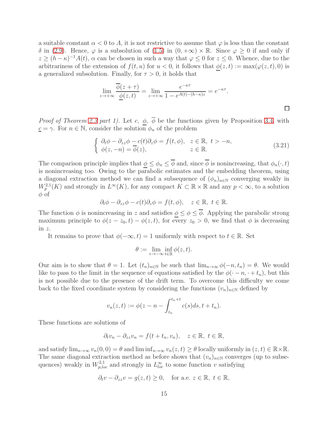a suitable constant  $\alpha < 0$  to A, it is not restrictive to assume that  $\varphi$  is less than the constant δ in [\(2.9\)](#page-4-2). Hence,  $\varphi$  is a subsolution of [\(1.5\)](#page-2-1) in (0, +∞) × ℝ. Since  $\varphi$  ≥ 0 if and only if  $z \ge (h - \kappa)^{-1} A(t)$ ,  $\alpha$  can be chosen in such a way that  $\varphi \le 0$  for  $z \le 0$ . Whence, due to the arbitrariness of the extension of  $f(t, u)$  for  $u < 0$ , it follows that  $\phi(z, t) := \max(\varphi(z, t), 0)$  is a generalized subsolution. Finally, for  $\tau > 0$ , it holds that

$$
\lim_{z \to +\infty} \frac{\overline{\phi}(z+\tau)}{\underline{\phi}(z,t)} = \lim_{z \to +\infty} \frac{e^{-\kappa \tau}}{1 - e^{A(t) - (h-\kappa)z}} = e^{-\kappa \tau}.
$$

*Proof of Theorem [2.3](#page-4-5) part 1).* Let c,  $\phi$ ,  $\overline{\phi}$  be the functions given by Proposition [3.4,](#page-12-0) with  $\underline{c} = \gamma$ . For  $n \in \mathbb{N}$ , consider the solution  $\phi_n$  of the problem

$$
\begin{cases}\n\partial_t \phi - \partial_{zz} \phi - c(t) \partial_z \phi = f(t, \phi), & z \in \mathbb{R}, \ t > -n, \\
\phi(z, -n) = \overline{\phi}(z), & z \in \mathbb{R}.\n\end{cases}
$$
\n(3.21)

 $\Box$ 

The comparison principle implies that  $\phi \leq \phi_n \leq \overline{\phi}$  and, since  $\overline{\phi}$  is nonincreasing, that  $\phi_n(\cdot, t)$ is nonincreasing too. Owing to the parabolic estimates and the embedding theorem, using a diagonal extraction method we can find a subsequence of  $(\phi_n)_{n\in\mathbb{N}}$  converging weakly in  $W^{2,1}_p(K)$  and strongly in  $L^\infty(K)$ , for any compact  $K \subset \mathbb{R} \times \mathbb{R}$  and any  $p < \infty$ , to a solution  $\phi$  of

$$
\partial_t \phi - \partial_{zz} \phi - c(t) \partial_z \phi = f(t, \phi), \quad z \in \mathbb{R}, \ t \in \mathbb{R}.
$$

The function  $\phi$  is nonincreasing in z and satisfies  $\phi \leq \phi \leq \overline{\phi}$ . Applying the parabolic strong maximum principle to  $\phi(z-z_0,t) - \phi(z,t)$ , for every  $z_0 > 0$ , we find that  $\phi$  is decreasing in z.

It remains to prove that  $\phi(-\infty, t) = 1$  uniformly with respect to  $t \in \mathbb{R}$ . Set

$$
\theta:=\lim_{z\to-\infty}\inf_{t\in\mathbb{R}}\phi(z,t).
$$

Our aim is to show that  $\theta = 1$ . Let  $(t_n)_{n \in \mathbb{N}}$  be such that  $\lim_{n \to \infty} \phi(-n, t_n) = \theta$ . We would like to pass to the limit in the sequence of equations satisfied by the  $\phi(\cdot - n, \cdot + t_n)$ , but this is not possible due to the presence of the drift term. To overcome this difficulty we come back to the fixed coordinate system by considering the functions  $(v_n)_{n\in\mathbb{N}}$  defined by

$$
v_n(z,t) := \phi(z - n - \int_{t_n}^{t_n+t} c(s)ds, t + t_n).
$$

These functions are solutions of

$$
\partial_t v_n - \partial_{zz} v_n = f(t + t_n, v_n), \quad z \in \mathbb{R}, \ t \in \mathbb{R},
$$

and satisfy  $\lim_{n\to\infty}v_n(0,0)=\theta$  and  $\liminf_{n\to\infty}v_n(z,t)\geq\theta$  locally uniformly in  $(z,t)\in\mathbb{R}\times\mathbb{R}$ . The same diagonal extraction method as before shows that  $(v_n)_{n\in\mathbb{N}}$  converges (up to subsequences) weakly in  $W_{p,loc}^{2,1}$  and strongly in  $L_{loc}^{\infty}$  to some function v satisfying

$$
\partial_t v - \partial_{zz} v = g(z, t) \ge 0
$$
, for a.e.  $z \in \mathbb{R}$ ,  $t \in \mathbb{R}$ ,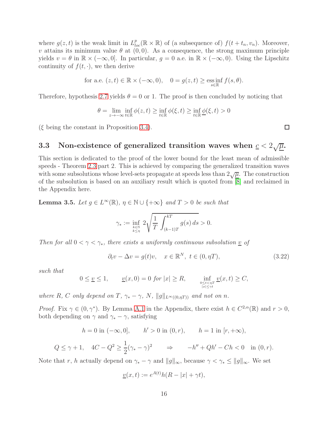where  $g(z, t)$  is the weak limit in  $L_{loc}^p(\mathbb{R} \times \mathbb{R})$  of (a subsequence of)  $f(t + t_n, v_n)$ . Moreover, v attains its minimum value  $\theta$  at  $(0, 0)$ . As a consequence, the strong maximum principle yields  $v = \theta$  in  $\mathbb{R} \times (-\infty, 0]$ . In particular,  $g = 0$  a.e. in  $\mathbb{R} \times (-\infty, 0)$ . Using the Lipschitz continuity of  $f(t, \cdot)$ , we then derive

for a.e. 
$$
(z, t) \in \mathbb{R} \times (-\infty, 0)
$$
,  $0 = g(z, t) \ge \underset{s \in \mathbb{R}}{\mathrm{ess\,inf}} f(s, \theta)$ .

Therefore, hypothesis [2.7](#page-4-3) yields  $\theta = 0$  or 1. The proof is then concluded by noticing that

$$
\theta = \lim_{z \to -\infty} \inf_{t \in \mathbb{R}} \phi(z, t) \ge \inf_{t \in \mathbb{R}} \phi(\xi, t) \ge \inf_{t \in \mathbb{R}} \underline{\phi(\xi, t)} > 0
$$

 $(\xi)$  being the constant in Proposition [3.4\)](#page-12-0).

# <span id="page-15-2"></span>3.3 Non-existence of generalized transition waves when  $c < 2\sqrt{\mu}$ .

This section is dedicated to the proof of the lower bound for the least mean of admissible speeds - Theorem [2.3](#page-4-5) part 2. This is achieved by comparing the generalized transition waves with some subsolutions whose level-sets propagate at speeds less than  $2\sqrt{\mu}$ . The construction of the subsolution is based on an auxiliary result which is quoted from  $\overline{[8]}$  and reclaimed in the Appendix here.

<span id="page-15-1"></span>**Lemma 3.5.** Let  $g \in L^{\infty}(\mathbb{R})$ ,  $\eta \in \mathbb{N} \cup \{+\infty\}$  and  $T > 0$  be such that

$$
\gamma_* := \inf_{\substack{k \in \mathbb{N} \\ k \le \eta}} 2 \sqrt{\frac{1}{T} \int_{(k-1)T}^{kT} g(s) \, ds} > 0.
$$

Then for all  $0 < \gamma < \gamma_*$ , there exists a uniformly continuous subsolution  $\underline{v}$  of

<span id="page-15-0"></span>
$$
\partial_t v - \Delta v = g(t)v, \quad x \in \mathbb{R}^N, \ t \in (0, \eta T), \tag{3.22}
$$

such that

$$
0 \le \underline{v} \le 1, \qquad \underline{v}(x,0) = 0 \text{ for } |x| \ge R, \qquad \inf_{0 \le t < \eta T \atop |x| \le \gamma t} \underline{v}(x,t) \ge C,
$$

where R, C only depend on T,  $\gamma_* - \gamma$ , N,  $||g||_{L^{\infty}((0,\eta T))}$  and not on n.

*Proof.* Fix  $\gamma \in (0, \gamma^*)$ . By Lemma [A.1](#page-23-0) in the Appendix, there exist  $h \in C^{2,\alpha}(\mathbb{R})$  and  $r > 0$ , both depending on  $\gamma$  and  $\gamma_* - \gamma$ , satisfying

$$
h = 0
$$
 in  $(-\infty, 0]$ ,  $h' > 0$  in  $(0, r)$ ,  $h = 1$  in  $[r, +\infty)$ ,

$$
Q \le \gamma + 1, \quad 4C - Q^2 \ge \frac{1}{2}(\gamma_* - \gamma)^2 \qquad \Rightarrow \qquad -h'' + Qh' - Ch < 0 \quad \text{in } (0, r).
$$

Note that r, h actually depend on  $\gamma_* - \gamma$  and  $||g||_{\infty}$ , because  $\gamma < \gamma_* \le ||g||_{\infty}$ . We set

$$
\underline{v}(x,t) := e^{A(t)}h(R - |x| + \gamma t),
$$

 $\Box$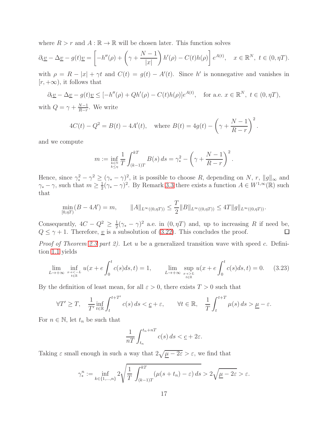where  $R > r$  and  $A : \mathbb{R} \to \mathbb{R}$  will be chosen later. This function solves

$$
\partial_t \underline{v} - \Delta \underline{v} - g(t) \underline{v} = \left[ -h''(\rho) + \left( \gamma + \frac{N-1}{|x|} \right) h'(\rho) - C(t) h(\rho) \right] e^{A(t)}, \quad x \in \mathbb{R}^N, \ t \in (0, \eta T).
$$

with  $\rho = R - |x| + \gamma t$  and  $C(t) = g(t) - A'(t)$ . Since h' is nonnegative and vanishes in  $[r, +\infty)$ , it follows that

$$
\partial_t \underline{v} - \Delta \underline{v} - g(t) \underline{v} \le [-h''(\rho) + Qh'(\rho) - C(t)h(\rho)]e^{A(t)}, \quad \text{for a.e. } x \in \mathbb{R}^N, \ t \in (0, \eta T),
$$

with  $Q = \gamma + \frac{N-1}{B-r}$  $\frac{N-1}{R-r}$ . We write

$$
4C(t) - Q^{2} = B(t) - 4A'(t), \text{ where } B(t) = 4g(t) - \left(\gamma + \frac{N-1}{R-r}\right)^{2}.
$$

and we compute

$$
m := \inf_{\substack{k \in \mathbb{N} \\ k \le \eta}} \frac{1}{T} \int_{(k-1)T}^{kT} B(s) \, ds = \gamma_*^2 - \left(\gamma + \frac{N-1}{R-r}\right)^2.
$$

Hence, since  $\gamma_*^2 - \gamma^2 \geq (\gamma_* - \gamma)^2$ , it is possible to choose R, depending on N, r,  $||g||_{\infty}$  and  $\gamma_* - \gamma$ , such that  $m \geq \frac{1}{2}$  $\frac{1}{2}(\gamma_* - \gamma)^2$ . By Remark [3.3](#page-12-1) there exists a function  $A \in W^{1,\infty}(\mathbb{R})$  such that

$$
\min_{[0,\eta T)} (B - 4A') = m, \qquad \|A\|_{L^{\infty}((0,\eta T))} \le \frac{T}{2} \|B\|_{L^{\infty}((0,\eta T))} \le 4T \|g\|_{L^{\infty}((0,\eta T))}.
$$

Consequently,  $4C - Q^2 \geq \frac{1}{2}$  $\frac{1}{2}(\gamma_* - \gamma)^2$  a.e. in  $(0, \eta T)$  and, up to increasing R if need be,  $Q \leq \gamma + 1$ . Therefore, <u>v</u> is a subsolution of [\(3.22\)](#page-15-0). This concludes the proof.  $\Box$ 

Proof of Theorem [2.3](#page-4-5) part 2). Let u be a generalized transition wave with speed c. Definition [1.1](#page-2-0) yields

<span id="page-16-0"></span>
$$
\lim_{L \to +\infty} \inf_{\substack{x \to -L \\ t \in \mathbb{R}}} u(x + e \int_0^t c(s) ds, t) = 1, \qquad \lim_{L \to +\infty} \sup_{\substack{x \to -L \\ t \in \mathbb{R}}} u(x + e \int_0^t c(s) ds, t) = 0. \tag{3.23}
$$

By the definition of least mean, for all  $\varepsilon > 0$ , there exists  $T > 0$  such that

$$
\forall T' \geq T, \quad \frac{1}{T'} \inf_{t \in \mathbb{R}} \int_{t}^{t+T'} c(s) \, ds < \underline{c} + \varepsilon, \qquad \forall t \in \mathbb{R}, \quad \frac{1}{T} \int_{t}^{t+T} \mu(s) \, ds > \underline{\mu} - \varepsilon.
$$

For  $n \in \mathbb{N}$ , let  $t_n$  be such that

$$
\frac{1}{nT} \int_{t_n}^{t_n+nT} c(s) \, ds < \underline{c} + 2\varepsilon.
$$

Taking  $\varepsilon$  small enough in such a way that  $2\sqrt{\mu - 2\varepsilon} > \varepsilon$ , we find that

$$
\gamma^n_* := \inf_{k \in \{1, \dots, n\}} 2 \sqrt{\frac{1}{T} \int_{(k-1)T}^{kT} (\mu(s+t_n) - \varepsilon) ds} > 2 \sqrt{\underline{\mu} - 2\varepsilon} > \varepsilon.
$$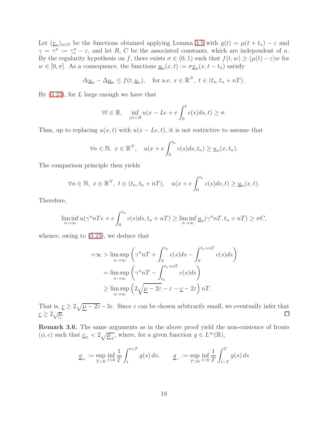Let  $(\underline{v}_n)_{n \in \mathbb{N}}$  be the functions obtained applying Lemma [3.5](#page-15-1) with  $g(t) = \mu(t + t_n) - \varepsilon$  and  $\gamma = \gamma^n := \gamma_*^n - \varepsilon$ , and let R, C be the associated constants, which are independent of n. By the regularity hypothesis on f, there exists  $\sigma \in (0,1)$  such that  $f(t, w) \geq (\mu(t) - \varepsilon)w$  for  $w \in [0, \sigma]$ . As a consequence, the functions  $\underline{u}_n(x, t) := \sigma \underline{v}_n(x, t - t_n)$  satisfy

$$
\partial_t \underline{u}_n - \Delta \underline{u}_n \le f(t, \underline{u}_n)
$$
, for a.e.  $x \in \mathbb{R}^N$ ,  $t \in (t_n, t_n + nT)$ .

By  $(3.23)$ , for L large enough we have that

$$
\forall t \in \mathbb{R}, \quad \inf_{|x| < R} u(x - Le + e \int_0^t c(s) ds, t) \ge \sigma.
$$

Thus, up to replacing  $u(x, t)$  with  $u(x - Le, t)$ , it is not restrictive to assume that

$$
\forall n \in \mathbb{N}, \ x \in \mathbb{R}^N, \quad u(x + e \int_0^{t_n} c(s) ds, t_n) \ge \underline{u}_n(x, t_n).
$$

The comparison principle then yields

$$
\forall n \in \mathbb{N}, \ x \in \mathbb{R}^N, \ t \in (t_n, t_n + nT), \quad u(x + e \int_0^{t_n} c(s)ds, t) \ge \underline{u}_n(x, t).
$$

Therefore,

$$
\liminf_{n \to \infty} u(\gamma^n nTe + e \int_0^{t_n} c(s)ds, t_n + nT) \ge \liminf_{n \to \infty} \underline{u}_n(\gamma^n nT, t_n + nT) \ge \sigma C,
$$

whence, owing to [\(3.23\)](#page-16-0), we deduce that

$$
+\infty > \limsup_{n \to \infty} \left( \gamma^n nT + \int_0^{t_n} c(s)ds - \int_0^{t_n + nT} c(s)ds \right)
$$
  
= 
$$
\limsup_{n \to \infty} \left( \gamma^n nT - \int_{t_n}^{t_n + nT} c(s)ds \right)
$$
  

$$
\geq \limsup_{n \to \infty} \left( 2\sqrt{\mu - 2\varepsilon} - \varepsilon - \underline{c} - 2\varepsilon \right) nT.
$$

That is,  $c \geq 2\sqrt{\mu - 2\varepsilon} - 3\varepsilon$ . Since  $\varepsilon$  can be chosen arbitrarily small, we eventually infer that  $\underline{c} \geq 2\sqrt{\underline{\mu}}.$ 

Remark 3.6. The same arguments as in the above proof yield the non-existence of fronts  $(\phi, c)$  such that  $\underline{c}_{\pm} < 2 \sqrt{\underline{\mu}_{\pm}}$ , where, for a given function  $g \in L^{\infty}(\mathbb{R})$ ,

$$
\underline{g}_{+} := \sup_{T>0} \inf_{t>0} \frac{1}{T} \int_{t}^{t+T} g(s) \, ds, \qquad \underline{g}_{-} := \sup_{T>0} \inf_{t<0} \frac{1}{T} \int_{t-T}^{T} g(s) \, ds
$$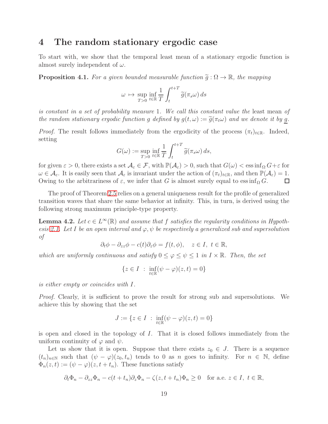### 4 The random stationary ergodic case

To start with, we show that the temporal least mean of a stationary ergodic function is almost surely independent of  $\omega$ .

<span id="page-18-0"></span>**Proposition 4.1.** For a given bounded measurable function  $\tilde{q}: \Omega \to \mathbb{R}$ , the mapping

$$
\omega \mapsto \sup_{T>0} \inf_{t \in \mathbb{R}} \frac{1}{T} \int_{t}^{t+T} \widetilde{g}(\pi_{s}\omega) ds
$$

is constant in a set of probability measure 1. We call this constant value the least mean of the random stationary ergodic function g defined by  $g(t, \omega) := \tilde{g}(\pi_t \omega)$  and we denote it by g.

*Proof.* The result follows immediately from the ergodicity of the process  $(\pi_t)_{t \in \mathbb{R}}$ . Indeed, setting

$$
G(\omega) := \sup_{T>0} \inf_{t \in \mathbb{R}} \frac{1}{T} \int_{t}^{t+T} \widetilde{g}(\pi_s \omega) ds,
$$

for given  $\varepsilon > 0$ , there exists a set  $\mathcal{A}_{\varepsilon} \in \mathcal{F}$ , with  $\mathbb{P}(\mathcal{A}_{\varepsilon}) > 0$ , such that  $G(\omega) < \varepsilon \sin f_{\Omega} G + \varepsilon$  for  $\omega \in \mathcal{A}_{\varepsilon}$ . It is easily seen that  $\mathcal{A}_{\varepsilon}$  is invariant under the action of  $(\pi_t)_{t\in\mathbb{R}}$ , and then  $\mathbb{P}(\mathcal{A}_{\varepsilon})=1$ . Owing to the arbitrariness of  $\varepsilon$ , we infer that G is almost surely equal to essinf ${}_{\Omega} G$ .  $\Box$ 

The proof of Theorem [2.5](#page-6-1) relies on a general uniqueness result for the profile of generalized transition waves that share the same behavior at infinity. This, in turn, is derived using the following strong maximum principle-type property.

<span id="page-18-1"></span>**Lemma 4.2.** Let  $c \in L^{\infty}(\mathbb{R})$  and assume that f satisfies the regularity conditions in Hypoth-esis [2.1.](#page-4-4) Let I be an open interval and  $\varphi, \psi$  be respectively a generalized sub and supersolution of

$$
\partial_t \phi - \partial_{zz} \phi - c(t) \partial_z \phi = f(t, \phi), \quad z \in I, \ t \in \mathbb{R},
$$

which are uniformly continuous and satisfy  $0 \leq \varphi \leq \psi \leq 1$  in  $I \times \mathbb{R}$ . Then, the set

$$
\{z \in I \; : \; \inf_{t \in \mathbb{R}} (\psi - \varphi)(z, t) = 0\}
$$

is either empty or coincides with I.

Proof. Clearly, it is sufficient to prove the result for strong sub and supersolutions. We achieve this by showing that the set

$$
J := \{ z \in I \; : \; \inf_{t \in \mathbb{R}} (\psi - \varphi)(z, t) = 0 \}
$$

is open and closed in the topology of I. That it is closed follows immediately from the uniform continuity of  $\varphi$  and  $\psi$ .

Let us show that it is open. Suppose that there exists  $z_0 \in J$ . There is a sequence  $(t_n)_{n\in\mathbb{N}}$  such that  $(\psi - \varphi)(z_0, t_n)$  tends to 0 as n goes to infinity. For  $n \in \mathbb{N}$ , define  $\Phi_n(z,t) := (\psi - \varphi)(z, t + t_n)$ . These functions satisfy

$$
\partial_t \Phi_n - \partial_{zz} \Phi_n - c(t + t_n) \partial_z \Phi_n - \zeta(z, t + t_n) \Phi_n \ge 0 \quad \text{for a.e. } z \in I, \ t \in \mathbb{R},
$$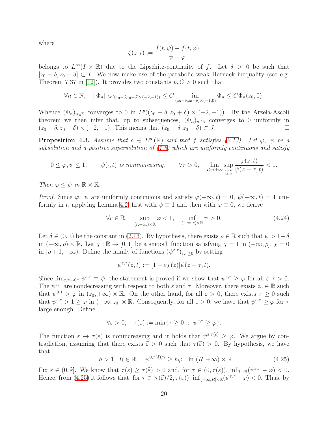where

$$
\zeta(z,t) := \frac{f(t,\psi) - f(t,\varphi)}{\psi - \varphi}
$$

belongs to  $L^{\infty}(I \times \mathbb{R})$  due to the Lipschitz-continuity of f. Let  $\delta > 0$  be such that  $[z_0 - \delta, z_0 + \delta] \subset I$ . We now make use of the parabolic weak Harnack inequality (see e.g. Theorem 7.37 in [\[12\]](#page-24-14)). It provides two constants  $p, C > 0$  such that

$$
\forall n \in \mathbb{N}, \quad \|\Phi_n\|_{L^p((z_0-\delta,z_0+\delta)\times(-2,-1))} \leq C \inf_{(z_0-\delta,z_0+\delta)\times(-1,0)} \Phi_n \leq C\Phi_n(z_0,0).
$$

Whence  $(\Phi_n)_{n\in\mathbb{N}}$  converges to 0 in  $L^p((z_0-\delta,z_0+\delta)\times(-2,-1))$ . By the Arzela-Ascoli theorem we then infer that, up to subsequences,  $(\Phi_n)_{n\in\mathbb{N}}$  converges to 0 uniformly in  $(z_0 - \delta, z_0 + \delta) \times (-2, -1)$ . This means that  $(z_0 - \delta, z_0 + \delta) \subset J$ .  $(z_0 - \delta, z_0 + \delta) \times (-2, -1)$ . This means that  $(z_0 - \delta, z_0 + \delta) \subset J$ .

<span id="page-19-2"></span>**Proposition 4.3.** Assume that  $c \in L^{\infty}(\mathbb{R})$  and that f satisfies [\(2.13\)](#page-6-0). Let  $\varphi$ ,  $\psi$  be a subsolution and a positive supersolution of  $(1.5)$  which are uniformly continuous and satisfy

$$
0 \le \varphi, \psi \le 1, \qquad \psi(\cdot, t) \text{ is nonincreasing,} \qquad \forall \tau > 0, \quad \lim_{R \to +\infty} \sup_{\substack{z > R \\ t \in \mathbb{R}}} \frac{\varphi(z, t)}{\psi(z - \tau, t)} < 1.
$$

Then  $\varphi \leq \psi$  in  $\mathbb{R} \times \mathbb{R}$ .

*Proof.* Since  $\varphi$ ,  $\psi$  are uniformly continuous and satisfy  $\varphi(+\infty, t) = 0$ ,  $\psi(-\infty, t) = 1$  uni-formly in t, applying Lemma [4.2,](#page-18-1) first with  $\psi \equiv 1$  and then with  $\varphi \equiv 0$ , we derive

<span id="page-19-1"></span>
$$
\forall r \in \mathbb{R}, \quad \sup_{(r,+\infty)\times\mathbb{R}} \varphi < 1, \quad \inf_{(-\infty,r)\times\mathbb{R}} \psi > 0. \tag{4.24}
$$

Let  $\delta \in (0,1)$  be the constant in [\(2.13\)](#page-6-0). By hypothesis, there exists  $\rho \in \mathbb{R}$  such that  $\psi > 1-\delta$ in  $(-\infty, \rho) \times \mathbb{R}$ . Let  $\chi : \mathbb{R} \to [0, 1]$  be a smooth function satisfying  $\chi = 1$  in  $(-\infty, \rho]$ ,  $\chi = 0$ in  $[\rho+1, +\infty)$ . Define the family of functions  $(\psi^{\varepsilon,\tau})_{\varepsilon,\tau\geq 0}$  by setting

$$
\psi^{\varepsilon,\tau}(z,t) := [1 + \varepsilon \chi(z)] \psi(z - \tau, t).
$$

Since  $\lim_{\varepsilon,\tau\to 0^+}\psi^{\varepsilon,\tau}\equiv\psi$ , the statement is proved if we show that  $\psi^{\varepsilon,\tau}\geq\varphi$  for all  $\varepsilon,\tau>0$ . The  $\psi^{\varepsilon,\tau}$  are nondecreasing with respect to both  $\varepsilon$  and  $\tau$ . Moreover, there exists  $z_0 \in \mathbb{R}$  such that  $\psi^{0,1} > \varphi$  in  $(z_0, +\infty) \times \mathbb{R}$ . On the other hand, for all  $\varepsilon > 0$ , there exists  $\tau \geq 0$  such that  $\psi^{\varepsilon,\tau} > 1 \ge \varphi$  in  $(-\infty, z_0] \times \mathbb{R}$ . Consequently, for all  $\varepsilon > 0$ , we have that  $\psi^{\varepsilon,\tau} \ge \varphi$  for  $\tau$ large enough. Define

$$
\forall \varepsilon > 0, \quad \tau(\varepsilon) := \min \{ \tau \ge 0 \; : \; \psi^{\varepsilon, \tau} \ge \varphi \}.
$$

The function  $\varepsilon \mapsto \tau(\varepsilon)$  is nonincreasing and it holds that  $\psi^{\varepsilon,\tau(\varepsilon)} \geq \varphi$ . We argue by contradiction, assuming that there exists  $\tilde{\varepsilon} > 0$  such that  $\tau(\tilde{\varepsilon}) > 0$ . By hypothesis, we have that

<span id="page-19-0"></span>
$$
\exists h > 1, R \in \mathbb{R}, \quad \psi^{0,\tau(\tilde{\varepsilon})/2} \ge h\varphi \quad \text{in } (R, +\infty) \times \mathbb{R}.
$$
 (4.25)

Fix  $\varepsilon \in (0,\tilde{\varepsilon}]$ . We know that  $\tau(\varepsilon) \geq \tau(\tilde{\varepsilon}) > 0$  and, for  $\tau \in (0,\tau(\varepsilon))$ ,  $\inf_{\mathbb{R}\times\mathbb{R}}(\psi^{\varepsilon,\tau}-\varphi) < 0$ .<br>Hence from (4.95) it follows that for  $\tau \in (-\tilde{\varepsilon})$  (2)  $\tau(\varepsilon)$ ) inf Hence, from [\(4.25\)](#page-19-0) it follows that, for  $\tau \in [\tau(\tilde{\epsilon})/2, \tau(\varepsilon))$ ,  $\inf_{(-\infty,R] \times \mathbb{R}} (\psi^{\varepsilon,\tau} - \varphi) < 0$ . Thus, by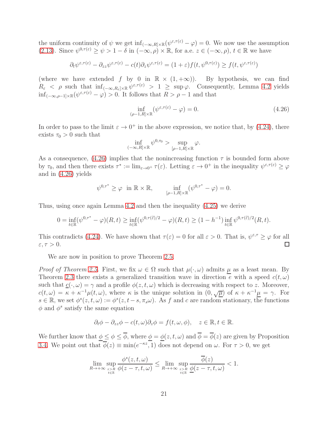the uniform continuity of  $\psi$  we get  $\inf_{(-\infty,R]\times\mathbb{R}} (\psi^{\varepsilon,\tau(\varepsilon)} - \varphi) = 0$ . We now use the assumption [\(2.13\)](#page-6-0). Since  $\psi^{0,\tau(\varepsilon)} \ge \psi > 1 - \delta$  in  $(-\infty, \rho) \times \mathbb{R}$ , for a.e.  $z \in (-\infty, \rho)$ ,  $t \in \mathbb{R}$  we have

$$
\partial_t \psi^{\varepsilon,\tau(\varepsilon)} - \partial_{zz} \psi^{\varepsilon,\tau(\varepsilon)} - c(t) \partial_z \psi^{\varepsilon,\tau(\varepsilon)} = (1+\varepsilon) f(t, \psi^{0,\tau(\varepsilon)}) \ge f(t, \psi^{\varepsilon,\tau(\varepsilon)})
$$

(where we have extended f by 0 in  $\mathbb{R} \times (1, +\infty)$ ). By hypothesis, we can find  $R_{\varepsilon}$  < ρ such that  $\inf_{(-\infty,R_{\varepsilon}]\times\mathbb{R}}\psi^{\varepsilon,\tau(\varepsilon)} > 1 \geq \sup\varphi$ . Consequently, Lemma [4.2](#page-18-1) yields  $\inf_{(-\infty,\rho-1]\times\mathbb{R}}(\psi^{\varepsilon,\tau(\varepsilon)}-\varphi)>0.$  It follows that  $R>\rho-1$  and that

<span id="page-20-0"></span>
$$
\inf_{(\rho-1,R]\times\mathbb{R}}(\psi^{\varepsilon,\tau(\varepsilon)}-\varphi)=0.\tag{4.26}
$$

In order to pass to the limit  $\varepsilon \to 0^+$  in the above expression, we notice that, by [\(4.24\)](#page-19-1), there exists  $\tau_0 > 0$  such that

$$
\inf_{(-\infty,R]\times\mathbb{R}}\psi^{0,\tau_0} > \sup_{[\rho-1,R]\times\mathbb{R}}\varphi.
$$

As a consequence, [\(4.26\)](#page-20-0) implies that the nonincreasing function  $\tau$  is bounded form above by  $\tau_0$ , and then there exists  $\tau^* := \lim_{\varepsilon \to 0^+} \tau(\varepsilon)$ . Letting  $\varepsilon \to 0^+$  in the inequality  $\psi^{\varepsilon, \tau(\varepsilon)} \geq \varphi$ and in [\(4.26\)](#page-20-0) yields

$$
\psi^{0,\tau^*} \ge \varphi \quad \text{in } \mathbb{R} \times \mathbb{R}, \qquad \inf_{[\rho-1,R] \times \mathbb{R}} (\psi^{0,\tau^*} - \varphi) = 0.
$$

Thus, using once again Lemma [4.2](#page-18-1) and then the inequality [\(4.25\)](#page-19-0) we derive

$$
0 = \inf_{t \in \mathbb{R}} (\psi^{0,\tau^*} - \varphi)(R, t) \ge \inf_{t \in \mathbb{R}} (\psi^{0,\tau(\tilde{\varepsilon})/2} - \varphi)(R, t) \ge (1 - h^{-1}) \inf_{t \in \mathbb{R}} \psi^{0,\tau(\tilde{\varepsilon})/2}(R, t).
$$

This contradicts [\(4.24\)](#page-19-1). We have shown that  $\tau(\varepsilon) = 0$  for all  $\varepsilon > 0$ . That is,  $\psi^{\varepsilon,\tau} \geq \varphi$  for all  $\varepsilon, \tau > 0.$ 

We are now in position to prove Theorem [2.5.](#page-6-1)

*Proof of Theorem [2.5.](#page-6-1)* First, we fix  $\omega \in \Omega$  such that  $\mu(\cdot, \omega)$  admits  $\mu$  as a least mean. By Theorem [2.3](#page-4-5) there exists a generalized transition wave in direction e with a speed  $c(t, \omega)$ such that  $\underline{c}(\cdot,\omega) = \gamma$  and a profile  $\phi(z,t,\omega)$  which is decreasing with respect to z. Moreover,  $c(t,\omega) = \kappa + \kappa^{-1}\mu(t,\omega)$ , where  $\kappa$  is the unique solution in  $(0,\sqrt{\mu})$  of  $\kappa + \kappa^{-1}\mu = \gamma$ . For  $s \in \mathbb{R}$ , we set  $\phi^s(z, t, \omega) := \phi^s(z, t - s, \pi_s \omega)$ . As f and c are random stationary, the functions  $\phi$  and  $\phi^s$  satisfy the same equation

$$
\partial_t \phi - \partial_{zz} \phi - c(t, \omega) \partial_z \phi = f(t, \omega, \phi), \quad z \in \mathbb{R}, t \in \mathbb{R}.
$$

We further know that  $\phi \leq \phi \leq \overline{\phi}$ , where  $\phi = \phi(z, t, \omega)$  and  $\overline{\phi} = \overline{\phi}(z)$  are given by Proposition [3.4.](#page-12-0) We point out that  $\overline{\phi}(z) \equiv \min(e^{-\kappa z}, 1)$  does not depend on  $\omega$ . For  $\tau > 0$ , we get

$$
\lim_{R\to+\infty}\sup_{\substack{z>R\\t\in\mathbb{R}}}\frac{\phi^s(z,t,\omega)}{\phi(z-\tau,t,\omega)}\leq \lim_{R\to+\infty}\sup_{\substack{z>R\\t\in\mathbb{R}}}\frac{\overline{\phi}(z)}{\underline{\phi}(z-\tau,t,\omega)}<1.
$$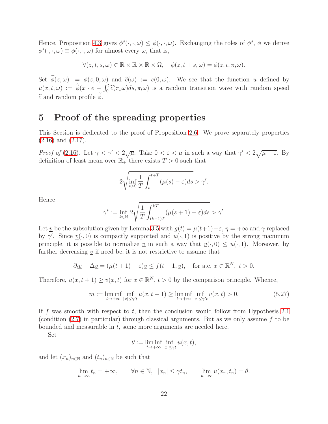Hence, Proposition [4.3](#page-19-2) gives  $\phi^s(\cdot,\cdot,\omega) \leq \phi(\cdot,\cdot,\omega)$ . Exchanging the roles of  $\phi^s$ ,  $\phi$  we derive  $\phi^s(\cdot,\cdot,\omega) \equiv \phi(\cdot,\cdot,\omega)$  for almost every  $\omega$ , that is,

 $\forall (z, t, s, \omega) \in \mathbb{R} \times \mathbb{R} \times \mathbb{R} \times \Omega, \quad \phi(z, t + s, \omega) = \phi(z, t, \pi_s \omega).$ 

Set  $\widetilde{\phi}(z,\omega) := \phi(z,0,\omega)$  and  $\widetilde{c}(\omega) := c(0,\omega)$ . We see that the function u defined by  $u(x, t, \omega) := \widetilde{\phi}(x \cdot e - \int_0^t \widetilde{c}(\pi_s \omega) ds, \pi_t \omega)$  is a random transition wave with random speed  $\tilde{c}$  and random profile  $\phi$ .

# 5 Proof of the spreading properties

This Section is dedicated to the proof of Proposition [2.6.](#page-8-2) We prove separately properties [\(2.16\)](#page-8-3) and [\(2.17\)](#page-8-1).

Proof of [\(2.16\)](#page-8-3). Let  $\gamma < \gamma' < 2\sqrt{\underline{\mu}}$ . Take  $0 < \varepsilon < \underline{\mu}$  in such a way that  $\gamma' < 2\sqrt{\underline{\mu} - \varepsilon}$ . By definition of least mean over  $\mathbb{R}_+$  there exists  $T > 0$  such that

$$
2\sqrt{\inf_{t>0} \frac{1}{T} \int_{t}^{t+T} (\mu(s) - \varepsilon) ds} > \gamma'.
$$

Hence

$$
\gamma^* := \inf_{k \in \mathbb{N}} 2\sqrt{\frac{1}{T} \int_{(k-1)T}^{kT} (\mu(s+1) - \varepsilon) ds} > \gamma'.
$$

Let v be the subsolution given by Lemma [3.5](#page-15-1) with  $g(t) = \mu(t+1) - \varepsilon$ ,  $\eta = +\infty$  and  $\gamma$  replaced by  $\gamma'$ . Since  $\underline{v}(\cdot,0)$  is compactly supported and  $u(\cdot,1)$  is positive by the strong maximum principle, it is possible to normalize <u>v</u> in such a way that  $\underline{v}(\cdot, 0) \leq u(\cdot, 1)$ . Moreover, by further decreasing  $\underline{v}$  if need be, it is not restrictive to assume that

$$
\partial_t \underline{v} - \Delta \underline{v} = (\mu(t+1) - \varepsilon) \underline{v} \le f(t+1, \underline{v}), \text{ for a.e. } x \in \mathbb{R}^N, t > 0.
$$

Therefore,  $u(x, t + 1) \geq \underline{v}(x, t)$  for  $x \in \mathbb{R}^N$ ,  $t > 0$  by the comparison principle. Whence,

<span id="page-21-0"></span>
$$
m := \liminf_{t \to +\infty} \inf_{|x| \le \gamma' t} u(x, t+1) \ge \liminf_{t \to +\infty} \inf_{|x| \le \gamma' t} \underline{v}(x, t) > 0.
$$
 (5.27)

If f was smooth with respect to t, then the conclusion would follow from Hypothesis [2.1](#page-4-4) (condition  $(2.7)$  in particular) through classical arguments. But as we only assume f to be bounded and measurable in t, some more arguments are needed here.

Set

$$
\theta := \liminf_{t \to +\infty} \inf_{|x| \le \gamma t} u(x, t),
$$

and let  $(x_n)_{n\in\mathbb{N}}$  and  $(t_n)_{n\in\mathbb{N}}$  be such that

$$
\lim_{n \to \infty} t_n = +\infty, \qquad \forall n \in \mathbb{N}, \ |x_n| \leq \gamma t_n, \qquad \lim_{n \to \infty} u(x_n, t_n) = \theta.
$$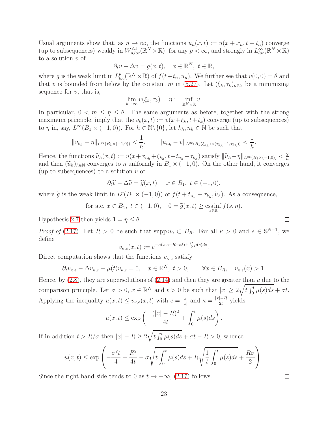Usual arguments show that, as  $n \to \infty$ , the functions  $u_n(x,t) := u(x+x_n, t+t_n)$  converge (up to subsequences) weakly in  $W_{p,loc}^{2,1}(\mathbb{R}^N\times\mathbb{R})$ , for any  $p<\infty$ , and strongly in  $L_{loc}^{\infty}(\mathbb{R}^N\times\mathbb{R})$ to a solution  $v$  of

$$
\partial_t v - \Delta v = g(x, t), \quad x \in \mathbb{R}^N, \ t \in \mathbb{R},
$$

where g is the weak limit in  $L_{loc}^p(\mathbb{R}^N\times\mathbb{R})$  of  $f(t+t_n, u_n)$ . We further see that  $v(0,0) = \theta$  and that v is bounded from below by the constant m in [\(5.27\)](#page-21-0). Let  $(\xi_k, \tau_k)_{k\in\mathbb{N}}$  be a minimizing sequence for  $v$ , that is,

$$
\lim_{k\to\infty} v(\xi_k,\tau_k)=\eta:=\inf_{\mathbb{R}^N\times\mathbb{R}} v.
$$

In particular,  $0 < m \leq \eta \leq \theta$ . The same arguments as before, together with the strong maximum principle, imply that the  $v_k(x, t) := v(x + \xi_k, t + t_k)$  converge (up to subsequences) to  $\eta$  in, say,  $L^{\infty}(B_1 \times (-1,0))$ . For  $h \in \mathbb{N} \setminus \{0\}$ , let  $k_h, n_h \in \mathbb{N}$  be such that

$$
||v_{k_h} - \eta||_{L^{\infty}(B_1 \times (-1,0))} < \frac{1}{h}, \qquad ||u_{n_h} - v||_{L^{\infty}(B_1(\xi_{k_h}) \times (\tau_{k_h} - 1, \tau_{k_h}))} < \frac{1}{h}.
$$

Hence, the functions  $\widetilde{u}_h(x,t) := u(x + x_{n_h} + \xi_{k_h}, t + t_{n_h} + \tau_{k_h})$  satisfy  $\|\widetilde{u}_h - \eta\|_{L^\infty(B_1 \times (-1,0))} < \frac{2}{h}$ h and then  $(\widetilde{u}_h)_{h\in\mathbb{N}}$  converges to  $\eta$  uniformly in  $B_1 \times (-1,0)$ . On the other hand, it converges (up to subsequences) to a solution  $\tilde{v}$  of

$$
\partial_t \widetilde{v} - \Delta \widetilde{v} = \widetilde{g}(x, t), \quad x \in B_1, \ t \in (-1, 0),
$$

where  $\tilde{g}$  is the weak limit in  $L^p(B_1 \times (-1,0))$  of  $f(t+t_{n_h}+\tau_{k_h},\tilde{u}_h)$ . As a consequence,

for a.e. 
$$
x \in B_1
$$
,  $t \in (-1,0)$ ,  $0 = \widetilde{g}(x,t) \ge \underset{s \in \mathbb{R}}{\mathrm{ess\,inf}} f(s,\eta)$ .

Hypothesis [2.7](#page-4-3) then yields  $1 = \eta \leq \theta$ .

*Proof of* [\(2.17\)](#page-8-1). Let  $R > 0$  be such that supp  $u_0 \subset B_R$ . For all  $\kappa > 0$  and  $e \in \mathbb{S}^{N-1}$ , we define

$$
v_{\kappa,e}(x,t) := e^{-\kappa(x \cdot e - R - \kappa t) + \int_0^t \mu(s)ds}
$$

.

Direct computation shows that the functions  $v_{\kappa,e}$  satisfy

$$
\partial_t v_{\kappa,e} - \Delta v_{\kappa,e} - \mu(t)v_{\kappa,e} = 0, \quad x \in \mathbb{R}^N, \ t > 0, \qquad \forall x \in B_R, \quad v_{\kappa,e}(x) > 1.
$$

Hence, by  $(2.8)$ , they are supersolutions of  $(2.14)$  and then they are greater than u due to the comparison principle. Let  $\sigma > 0$ ,  $x \in \mathbb{R}^N$  and  $t > 0$  be such that  $|x| \geq 2\sqrt{t \int_0^t \mu(s)ds} + \sigma t$ . Applying the inequality  $u(x,t) \leq v_{\kappa,e}(x,t)$  with  $e = \frac{x}{|x|}$  $\frac{x}{|x|}$  and  $\kappa = \frac{|x|-R}{2t}$  yields

$$
u(x,t) \le \exp\left(-\frac{(|x|-R)^2}{4t} + \int_0^t \mu(s)ds\right).
$$

If in addition  $t > R/\sigma$  then  $|x| - R \geq 2\sqrt{t \int_0^t \mu(s)ds + \sigma t - R} > 0$ , whence

$$
u(x,t) \le \exp\left(-\frac{\sigma^2 t}{4} - \frac{R^2}{4t} - \sigma\sqrt{t \int_0^t \mu(s)ds + R\sqrt{\frac{1}{t} \int_0^t \mu(s)ds + \frac{R\sigma}{2}}}\right).
$$

Since the right hand side tends to 0 as  $t \to +\infty$ , [\(2.17\)](#page-8-1) follows.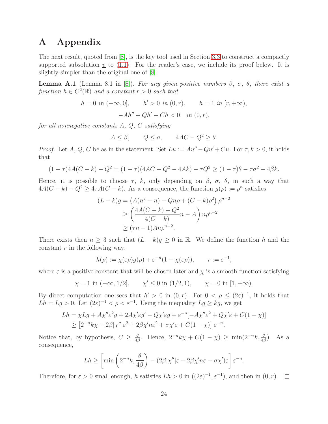# A Appendix

The next result, quoted from [\[8\]](#page-24-13), is the key tool used in Section [3.3](#page-15-2) to construct a compactly supported subsolution  $v$  to  $(1.1)$ . For the reader's ease, we include its proof below. It is slightly simpler than the original one of [\[8\]](#page-24-13).

<span id="page-23-0"></span>**Lemma A.1** (Lemma 8.1 in [\[8\]](#page-24-13)). For any given positive numbers  $\beta$ ,  $\sigma$ ,  $\theta$ , there exist a function  $h \in C^2(\mathbb{R})$  and a constant  $r > 0$  such that

$$
h = 0 \text{ in } (-\infty, 0], \qquad h' > 0 \text{ in } (0, r), \qquad h = 1 \text{ in } [r, +\infty),
$$

$$
-Ah'' + Qh' - Ch < 0 \quad \text{in } (0, r),
$$

for all nonnegative constants  $A, Q, C$  satisfying

$$
A \le \beta, \qquad Q \le \sigma, \qquad 4AC - Q^2 \ge \theta.
$$

*Proof.* Let A, Q, C be as in the statement. Set  $Lu := Au'' - Qu' + Cu$ . For  $\tau, k > 0$ , it holds that

$$
(1 - \tau)4A(C - k) - Q^2 = (1 - \tau)(4AC - Q^2 - 4Ak) - \tau Q^2 \ge (1 - \tau)\theta - \tau \sigma^2 - 4\beta k.
$$

Hence, it is possible to choose  $\tau$ , k, only depending on  $\beta$ ,  $\sigma$ ,  $\theta$ , in such a way that  $4A(C-k) - Q^2 \ge 4\tau A(C-k)$ . As a consequence, the function  $g(\rho) := \rho^n$  satisfies

$$
(L - k)g = (A(n^{2} - n) - Qn\rho + (C - k)\rho^{2}) \rho^{n-2}
$$
  
\n
$$
\geq \left(\frac{4A(C - k) - Q^{2}}{4(C - k)}n - A\right)n\rho^{n-2}
$$
  
\n
$$
\geq (\tau n - 1)An\rho^{n-2}.
$$

There exists then  $n \geq 3$  such that  $(L - k)g \geq 0$  in R. We define the function h and the constant  $r$  in the following way:

$$
h(\rho) := \chi(\varepsilon \rho)g(\rho) + \varepsilon^{-n}(1 - \chi(\varepsilon \rho)), \qquad r := \varepsilon^{-1},
$$

where  $\varepsilon$  is a positive constant that will be chosen later and  $\chi$  is a smooth function satisfying

$$
\chi = 1
$$
 in  $(-\infty, 1/2]$ ,  $\chi' \le 0$  in  $(1/2, 1)$ ,  $\chi = 0$  in  $[1, +\infty)$ .

By direct computation one sees that  $h' > 0$  in  $(0, r)$ . For  $0 < \rho \leq (2\varepsilon)^{-1}$ , it holds that  $Lh = Lg > 0$ . Let  $(2\varepsilon)^{-1} < \rho < \varepsilon^{-1}$ . Using the inequality  $Lg \ge kg$ , we get

$$
Lh = \chi Lg + A\chi''\varepsilon^2 g + 2A\chi'\varepsilon g' - Q\chi'\varepsilon g + \varepsilon^{-n}[-A\chi''\varepsilon^2 + Q\chi'\varepsilon + C(1-\chi)]
$$
  
\n
$$
\geq [2^{-n}k\chi - 2\beta|\chi''|\varepsilon^2 + 2\beta\chi'n\varepsilon^2 + \sigma\chi'\varepsilon + C(1-\chi)]\varepsilon^{-n}.
$$

Notice that, by hypothesis,  $C \geq \frac{\theta}{4\beta}$  $\frac{\theta}{4\beta}$ . Hence,  $2^{-n}k\chi + C(1-\chi) \ge \min(2^{-n}k, \frac{\theta}{4\beta})$ . As a consequence,

$$
Lh \geq \left[ \min \left( 2^{-n}k, \frac{\theta}{4\beta} \right) - (2\beta |\chi''| \varepsilon - 2\beta \chi' n \varepsilon - \sigma \chi') \varepsilon \right] \varepsilon^{-n}.
$$

Therefore, for  $\varepsilon > 0$  small enough, h satisfies  $Lh > 0$  in  $((2\varepsilon)^{-1}, \varepsilon^{-1})$ , and then in  $(0, r)$ .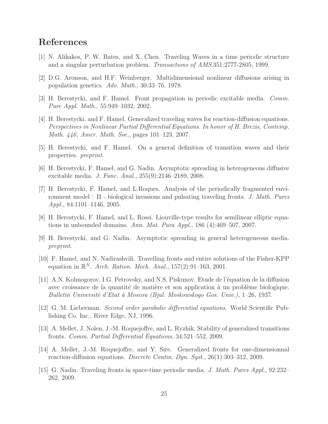# <span id="page-24-4"></span>References

- <span id="page-24-1"></span>[1] N. Alikakos, P. W. Bates, and X. Chen. Traveling Waves in a time periodic structure and a singular perturbation problem. Transactions of AMS,351:2777-2805, 1999.
- <span id="page-24-5"></span>[2] D.G. Aronson, and H.F. Weinberger. Multidimensional nonlinear diffusions arising in population genetics. Adv. Math., 30:33–76, 1978.
- <span id="page-24-0"></span>[3] H. Berestycki, and F. Hamel. Front propagation in periodic excitable media. Comm. Pure Appl. Math., 55:949–1032, 2002.
- [4] H. Berestycki, and F. Hamel. Generalized traveling waves for reaction-diffusion equations. Perspectives in Nonlinear Partial Differential Equations. In honor of H. Brezis, Contemp. Math. 446, Amer. Math. Soc., pages 101–123, 2007.
- <span id="page-24-11"></span><span id="page-24-7"></span>[5] H. Berestycki, and F. Hamel. On a general definition of transition waves and their properties. preprint.
- <span id="page-24-6"></span>[6] H. Berestycki, F. Hamel, and G. Nadin. Asymptotic spreading in heterogeneous diffusive excitable media. J. Func. Anal., 255(9):2146–2189, 2008.
- [7] H. Berestycki, F. Hamel, and L.Roques. Analysis of the periodically fragmented environment model : II - biological invasions and pulsating traveling fronts. J. Math. Pures Appl., 84:1101–1146, 2005.
- <span id="page-24-13"></span><span id="page-24-12"></span>[8] H. Berestycki, F. Hamel, and L. Rossi. Liouville-type results for semilinear elliptic equations in unbounded domains. Ann. Mat. Pura Appl., 186 (4):469–507, 2007.
- <span id="page-24-10"></span>[9] H. Berestycki, and G. Nadin. Asymptotic spreading in general heterogeneous media. preprint.
- [10] F. Hamel, and N. Nadirashvili. Travelling fronts and entire solutions of the Fisher-KPP equation in  $\mathbb{R}^N$ . Arch. Ration. Mech. Anal., 157(2):91-163, 2001.
- <span id="page-24-2"></span>[11] A.N. Kolmogorov, I.G. Petrovsky, and N.S. Piskunov. Etude de l'équation de la diffusion avec croissance de la quantité de matière et son application à un problème biologique. Bulletin Université d'Etat à Moscou (Bjul. Moskowskogo Gos. Univ.), 1–26, 1937.
- <span id="page-24-14"></span><span id="page-24-9"></span>[12] G. M. Lieberman. Second order parabolic differential equations. World Scientific Publishing Co. Inc., River Edge, NJ, 1996.
- <span id="page-24-8"></span>[13] A. Mellet, J. Nolen, J.-M. Roquejoffre, and L. Ryzhik. Stability of generalized transitions fronts. Comm. Partial Differential Equations, 34:521–552, 2009.
- [14] A. Mellet, J.-M. Roquejoffre, and Y. Sire. Generalized fronts for one-dimensionnal reaction-diffusion equations. Discrete Contin. Dyn. Syst., 26(1):303–312, 2009.
- <span id="page-24-3"></span>[15] G. Nadin. Traveling fronts in space-time periodic media. J. Math. Pures Appl., 92:232– 262, 2009.